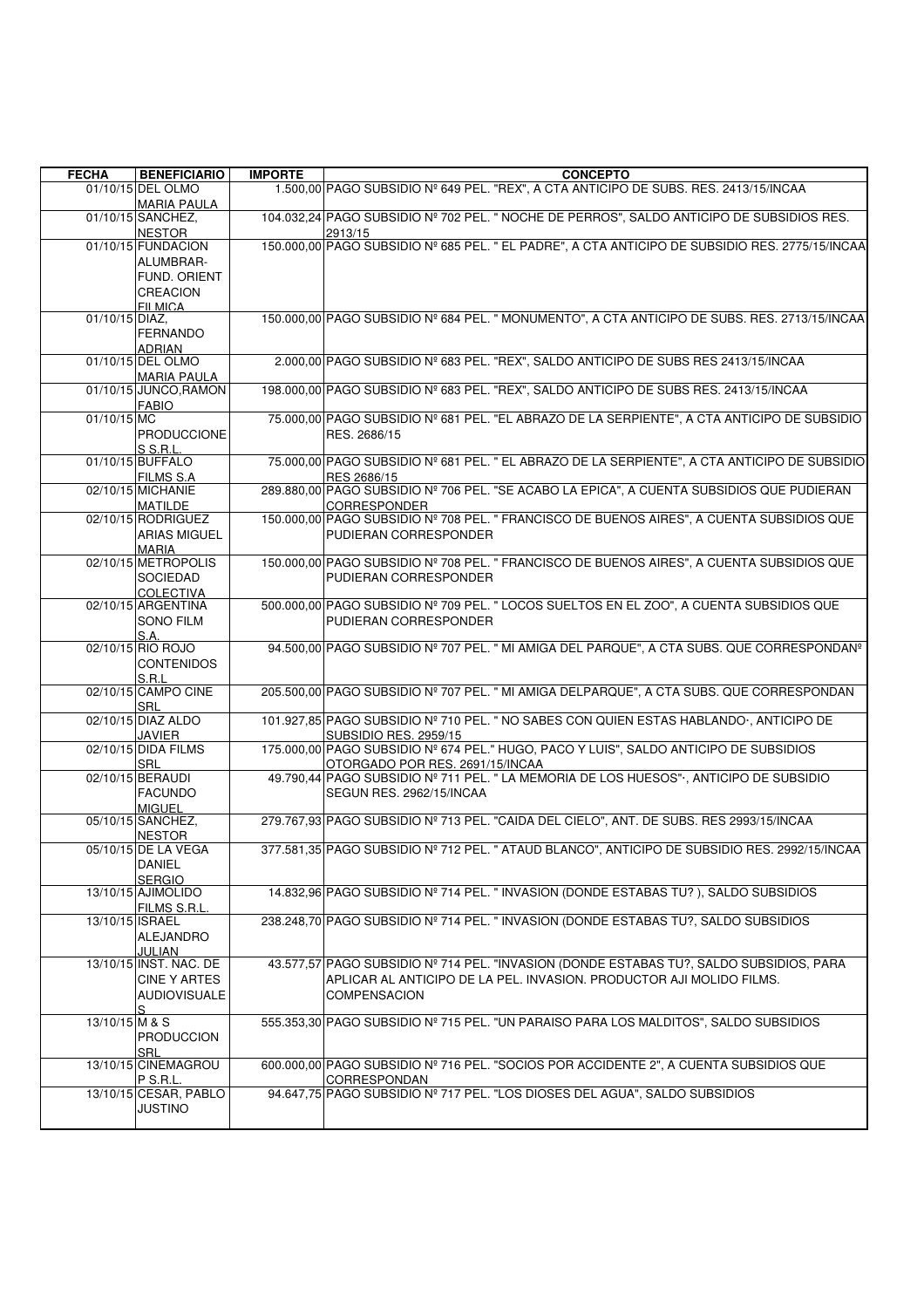| <b>FECHA</b>    | <b>BENEFICIARIO</b>                                                        | <b>IMPORTE</b> | <b>CONCEPTO</b>                                                                                                                                                                        |
|-----------------|----------------------------------------------------------------------------|----------------|----------------------------------------------------------------------------------------------------------------------------------------------------------------------------------------|
|                 | 01/10/15 DEL OLMO<br><b>MARIA PAULA</b>                                    |                | 1.500,00 PAGO SUBSIDIO Nº 649 PEL. "REX", A CTA ANTICIPO DE SUBS. RES. 2413/15/INCAA                                                                                                   |
|                 | 01/10/15 SANCHEZ,<br><b>NESTOR</b>                                         |                | 104.032,24 PAGO SUBSIDIO Nº 702 PEL. " NOCHE DE PERROS", SALDO ANTICIPO DE SUBSIDIOS RES.<br>2913/15                                                                                   |
|                 | 01/10/15 FUNDACION<br>ALUMBRAR-<br>FUND. ORIENT<br>CREACION                |                | 150.000,00 PAGO SUBSIDIO Nº 685 PEL. " EL PADRE", A CTA ANTICIPO DE SUBSIDIO RES. 2775/15/INCAA                                                                                        |
| 01/10/15 DIAZ,  | FII MICA<br><b>FERNANDO</b><br><b>ADRIAN</b>                               |                | 150.000,00 PAGO SUBSIDIO Nº 684 PEL. " MONUMENTO", A CTA ANTICIPO DE SUBS. RES. 2713/15/INCAA                                                                                          |
|                 | 01/10/15 DEL OLMO<br><b>MARIA PAULA</b>                                    |                | 2.000,00 PAGO SUBSIDIO Nº 683 PEL. "REX", SALDO ANTICIPO DE SUBS RES 2413/15/INCAA                                                                                                     |
|                 | 01/10/15 JUNCO, RAMON<br><b>FABIO</b>                                      |                | 198.000.00 PAGO SUBSIDIO Nº 683 PEL. "REX", SALDO ANTICIPO DE SUBS RES. 2413/15/INCAA                                                                                                  |
| 01/10/15 MC     | PRODUCCIONE<br>S S.R.L.                                                    |                | 75.000,00 PAGO SUBSIDIO Nº 681 PEL. "EL ABRAZO DE LA SERPIENTE", A CTA ANTICIPO DE SUBSIDIO<br>RES. 2686/15                                                                            |
|                 | 01/10/15 BUFFALO<br><b>FILMS S.A.</b>                                      |                | 75.000,00 PAGO SUBSIDIO Nº 681 PEL. " EL ABRAZO DE LA SERPIENTE", A CTA ANTICIPO DE SUBSIDIO<br>RES 2686/15                                                                            |
|                 | 02/10/15 MICHANIE<br>MATILDE                                               |                | 289.880,00 PAGO SUBSIDIO Nº 706 PEL. "SE ACABO LA EPICA", A CUENTA SUBSIDIOS QUE PUDIERAN<br><b>CORRESPONDER</b>                                                                       |
|                 | 02/10/15 RODRIGUEZ<br><b>ARIAS MIGUEL</b><br><b>MARIA</b>                  |                | 150.000,00 PAGO SUBSIDIO Nº 708 PEL. " FRANCISCO DE BUENOS AIRES", A CUENTA SUBSIDIOS QUE<br>PUDIERAN CORRESPONDER                                                                     |
|                 | 02/10/15 METROPOLIS<br><b>SOCIEDAD</b><br><b>COLECTIVA</b>                 |                | 150.000,00 PAGO SUBSIDIO Nº 708 PEL. " FRANCISCO DE BUENOS AIRES", A CUENTA SUBSIDIOS QUE<br>PUDIERAN CORRESPONDER                                                                     |
|                 | 02/10/15 ARGENTINA<br><b>SONO FILM</b><br>S.A.                             |                | 500.000,00 PAGO SUBSIDIO Nº 709 PEL. " LOCOS SUELTOS EN EL ZOO", A CUENTA SUBSIDIOS QUE<br>PUDIERAN CORRESPONDER                                                                       |
|                 | 02/10/15 RIO ROJO<br><b>CONTENIDOS</b><br>S.R.L                            |                | 94.500,00 PAGO SUBSIDIO Nº 707 PEL. " MI AMIGA DEL PARQUE", A CTA SUBS. QUE CORRESPONDANº                                                                                              |
|                 | 02/10/15 CAMPO CINE<br>SRL                                                 |                | 205.500,00 PAGO SUBSIDIO Nº 707 PEL. " MI AMIGA DELPARQUE", A CTA SUBS. QUE CORRESPONDAN                                                                                               |
|                 | 02/10/15 DIAZ ALDO<br>JAVIER                                               |                | 101.927,85 PAGO SUBSIDIO Nº 710 PEL. " NO SABES CON QUIEN ESTAS HABLANDO·, ANTICIPO DE<br><b>SUBSIDIO RES. 2959/15</b>                                                                 |
|                 | 02/10/15 DIDA FILMS<br>SRL                                                 |                | 175.000,00 PAGO SUBSIDIO Nº 674 PEL." HUGO, PACO Y LUIS", SALDO ANTICIPO DE SUBSIDIOS<br>OTORGADO POR RES. 2691/15/INCAA                                                               |
|                 | 02/10/15 BERAUDI<br><b>FACUNDO</b><br><b>MIGUEL</b>                        |                | 49.790,44 PAGO SUBSIDIO Nº 711 PEL. " LA MEMORIA DE LOS HUESOS" , ANTICIPO DE SUBSIDIO<br>SEGUN RES. 2962/15/INCAA                                                                     |
|                 | 05/10/15 SANCHEZ,<br><b>NESTOR</b>                                         |                | 279.767,93 PAGO SUBSIDIO Nº 713 PEL. "CAIDA DEL CIELO", ANT. DE SUBS. RES 2993/15/INCAA                                                                                                |
|                 | 05/10/15 DE LA VEGA<br>DANIEL<br><b>SERGIO</b>                             |                | 377.581,35 PAGO SUBSIDIO Nº 712 PEL. " ATAUD BLANCO", ANTICIPO DE SUBSIDIO RES. 2992/15/INCAA                                                                                          |
|                 | 13/10/15 AJIMOLIDO<br>FILMS S.R.L.                                         |                | 14.832,96 PAGO SUBSIDIO Nº 714 PEL. " INVASION (DONDE ESTABAS TU?), SALDO SUBSIDIOS                                                                                                    |
| 13/10/15 ISRAEL | <b>ALEJANDRO</b><br>JULIAN                                                 |                | 238.248,70 PAGO SUBSIDIO Nº 714 PEL. " INVASION (DONDE ESTABAS TU?, SALDO SUBSIDIOS                                                                                                    |
|                 | 13/10/15 INST. NAC. DE<br><b>CINE Y ARTES</b><br><b>AUDIOVISUALE</b><br>S. |                | 43.577,57 PAGO SUBSIDIO Nº 714 PEL. "INVASION (DONDE ESTABAS TU?, SALDO SUBSIDIOS, PARA<br>APLICAR AL ANTICIPO DE LA PEL. INVASION. PRODUCTOR AJI MOLIDO FILMS.<br><b>COMPENSACION</b> |
| 13/10/15 M & S  | <b>PRODUCCION</b><br>SRL                                                   |                | 555.353,30 PAGO SUBSIDIO Nº 715 PEL. "UN PARAISO PARA LOS MALDITOS", SALDO SUBSIDIOS                                                                                                   |
|                 | 13/10/15 CINEMAGROU<br>P S.R.L.                                            |                | 600.000,00 PAGO SUBSIDIO Nº 716 PEL. "SOCIOS POR ACCIDENTE 2", A CUENTA SUBSIDIOS QUE<br>CORRESPONDAN                                                                                  |
|                 | 13/10/15 CESAR, PABLO<br>JUSTINO                                           |                | 94.647,75 PAGO SUBSIDIO Nº 717 PEL. "LOS DIOSES DEL AGUA", SALDO SUBSIDIOS                                                                                                             |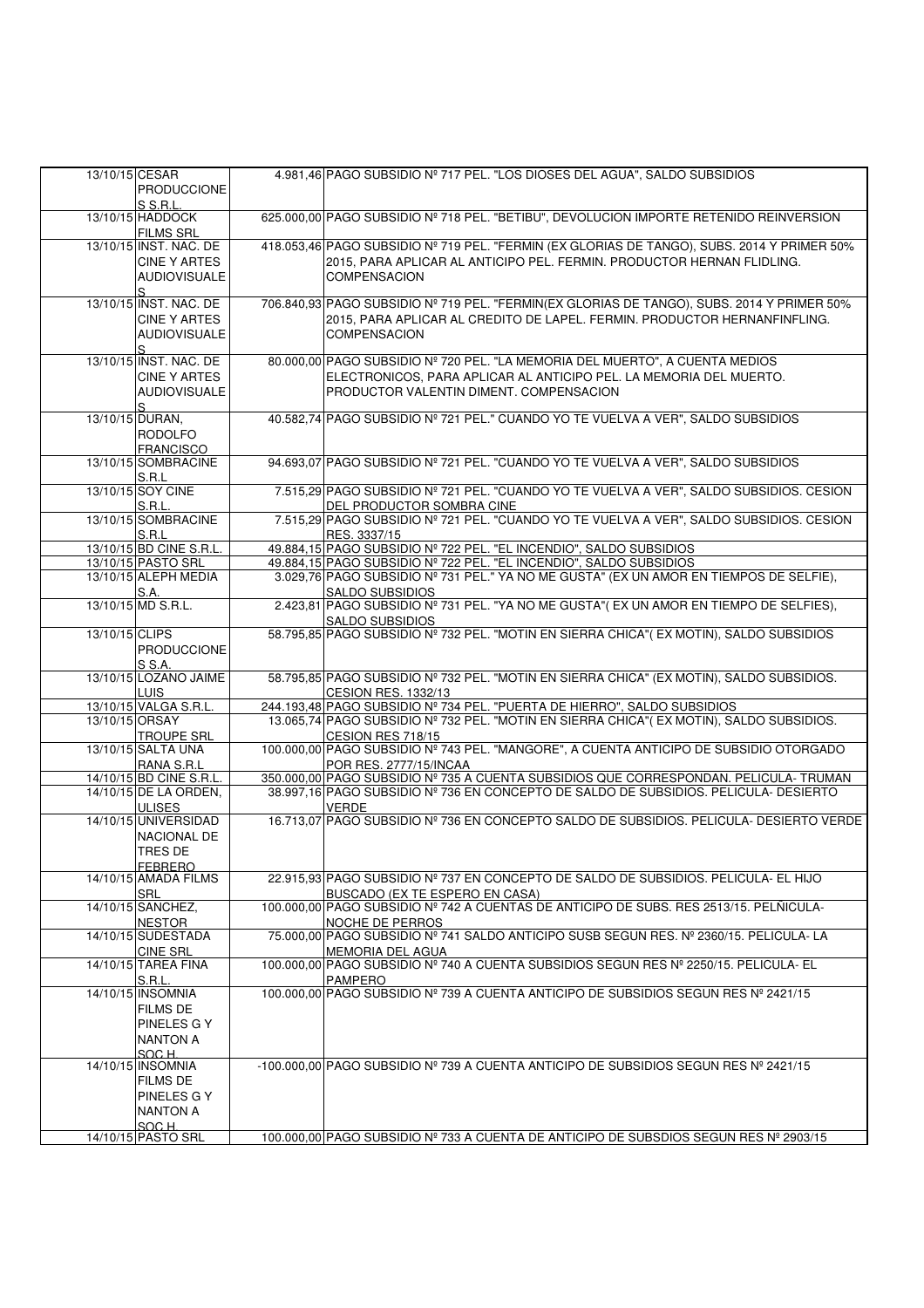|                | 13/10/15 CESAR          | 4.981,46 PAGO SUBSIDIO Nº 717 PEL. "LOS DIOSES DEL AGUA", SALDO SUBSIDIOS                                                |
|----------------|-------------------------|--------------------------------------------------------------------------------------------------------------------------|
|                |                         |                                                                                                                          |
|                | <b>PRODUCCIONE</b>      |                                                                                                                          |
|                | S S.R.L.                |                                                                                                                          |
|                | 13/10/15 HADDOCK        | 625.000,00 PAGO SUBSIDIO Nº 718 PEL. "BETIBU", DEVOLUCION IMPORTE RETENIDO REINVERSION                                   |
|                | <b>FILMS SRL</b>        |                                                                                                                          |
|                | 13/10/15 INST. NAC. DE  | 418.053,46 PAGO SUBSIDIO Nº 719 PEL. "FERMIN (EX GLORIAS DE TANGO), SUBS. 2014 Y PRIMER 50%                              |
|                | <b>CINE Y ARTES</b>     | 2015, PARA APLICAR AL ANTICIPO PEL. FERMIN. PRODUCTOR HERNAN FLIDLING.                                                   |
|                | <b>AUDIOVISUALE</b>     | <b>COMPENSACION</b>                                                                                                      |
|                | S.                      |                                                                                                                          |
|                | 13/10/15 INST. NAC. DE  | 706.840,93 PAGO SUBSIDIO Nº 719 PEL. "FERMIN(EX GLORIAS DE TANGO), SUBS. 2014 Y PRIMER 50%                               |
|                | <b>CINE Y ARTES</b>     | 2015, PARA APLICAR AL CREDITO DE LAPEL. FERMIN. PRODUCTOR HERNANFINFLING.                                                |
|                |                         |                                                                                                                          |
|                | <b>AUDIOVISUALE</b>     | <b>COMPENSACION</b>                                                                                                      |
|                | S                       |                                                                                                                          |
|                | 13/10/15 INST. NAC. DE  | 80.000,00 PAGO SUBSIDIO Nº 720 PEL. "LA MEMORIA DEL MUERTO", A CUENTA MEDIOS                                             |
|                | <b>CINE Y ARTES</b>     | ELECTRONICOS, PARA APLICAR AL ANTICIPO PEL. LA MEMORIA DEL MUERTO.                                                       |
|                | <b>AUDIOVISUALE</b>     | PRODUCTOR VALENTIN DIMENT, COMPENSACION                                                                                  |
|                | S                       |                                                                                                                          |
|                | 13/10/15 DURAN,         | 40.582,74 PAGO SUBSIDIO Nº 721 PEL." CUANDO YO TE VUELVA A VER", SALDO SUBSIDIOS                                         |
|                | <b>RODOLFO</b>          |                                                                                                                          |
|                |                         |                                                                                                                          |
|                | <b>FRANCISCO</b>        |                                                                                                                          |
|                | 13/10/15 SOMBRACINE     | 94.693,07 PAGO SUBSIDIO Nº 721 PEL. "CUANDO YO TE VUELVA A VER", SALDO SUBSIDIOS                                         |
|                | S.R.L                   |                                                                                                                          |
|                | 13/10/15 SOY CINE       | 7.515,29 PAGO SUBSIDIO Nº 721 PEL. "CUANDO YO TE VUELVA A VER", SALDO SUBSIDIOS. CESION                                  |
|                | S.R.L.                  | DEL PRODUCTOR SOMBRA CINE                                                                                                |
|                | 13/10/15 SOMBRACINE     | 7.515,29 PAGO SUBSIDIO Nº 721 PEL. "CUANDO YO TE VUELVA A VER", SALDO SUBSIDIOS. CESION                                  |
|                | S.R.L                   | RES. 3337/15                                                                                                             |
|                | 13/10/15 BD CINE S.R.L. | 49.884,15 PAGO SUBSIDIO Nº 722 PEL. "EL INCENDIO", SALDO SUBSIDIOS                                                       |
|                | 13/10/15 PASTO SRL      | 49.884,15 PAGO SUBSIDIO Nº 722 PEL. "EL INCENDIO", SALDO SUBSIDIOS                                                       |
|                | 13/10/15 ALEPH MEDIA    | 3.029,76 PAGO SUBSIDIO Nº 731 PEL." YA NO ME GUSTA" (EX UN AMOR EN TIEMPOS DE SELFIE),                                   |
|                |                         |                                                                                                                          |
|                | S.A.                    | <b>SALDO SUBSIDIOS</b>                                                                                                   |
|                | 13/10/15 MD S.R.L.      | 2.423,81 PAGO SUBSIDIO Nº 731 PEL. "YA NO ME GUSTA"(EX UN AMOR EN TIEMPO DE SELFIES),                                    |
|                |                         | <b>SALDO SUBSIDIOS</b>                                                                                                   |
| 13/10/15 CLIPS |                         | 58.795,85 PAGO SUBSIDIO Nº 732 PEL. "MOTIN EN SIERRA CHICA"(EX MOTIN), SALDO SUBSIDIOS                                   |
|                | PRODUCCIONE             |                                                                                                                          |
|                | S S.A.                  |                                                                                                                          |
|                | 13/10/15 LOZANO JAIME   | 58.795,85 PAGO SUBSIDIO Nº 732 PEL. "MOTIN EN SIERRA CHICA" (EX MOTIN), SALDO SUBSIDIOS.                                 |
|                | <b>LUIS</b>             | <b>CESION RES. 1332/13</b>                                                                                               |
|                | 13/10/15 VALGA S.R.L    | 244.193,48 PAGO SUBSIDIO Nº 734 PEL. "PUERTA DE HIERRO", SALDO SUBSIDIOS                                                 |
|                | 13/10/15 ORSAY          | 13.065,74 PAGO SUBSIDIO Nº 732 PEL. "MOTIN EN SIERRA CHICA"(EX MOTIN), SALDO SUBSIDIOS.                                  |
|                | <b>TROUPE SRL</b>       | CESION RES 718/15                                                                                                        |
|                |                         | 100.000,00 PAGO SUBSIDIO Nº 743 PEL. "MANGORE", A CUENTA ANTICIPO DE SUBSIDIO OTORGADO                                   |
|                | 13/10/15 SALTA UNA      |                                                                                                                          |
|                | RANA S.R.L              | POR RES. 2777/15/INCAA                                                                                                   |
|                | 14/10/15 BD CINE S.R.L. | 350.000,00 PAGO SUBSIDIO Nº 735 A CUENTA SUBSIDIOS QUE CORRESPONDAN. PELICULA- TRUMAN                                    |
|                | 14/10/15 DE LA ORDEN,   | 38.997,16 PAGO SUBSIDIO Nº 736 EN CONCEPTO DE SALDO DE SUBSIDIOS. PELICULA- DESIERTO                                     |
|                | <b>ULISES</b>           | <b>VERDE</b>                                                                                                             |
|                | 14/10/15 UNIVERSIDAD    | 16.713,07 PAGO SUBSIDIO Nº 736 EN CONCEPTO SALDO DE SUBSIDIOS. PELICULA- DESIERTO VERDE                                  |
|                | NACIONAL DE             |                                                                                                                          |
|                | <b>TRES DE</b>          |                                                                                                                          |
|                | FEBRERO                 |                                                                                                                          |
|                | 14/10/15 AMADA FILMS    | 22.915,93 PAGO SUBSIDIO Nº 737 EN CONCEPTO DE SALDO DE SUBSIDIOS. PELICULA- EL HIJO                                      |
|                | <b>SRL</b>              |                                                                                                                          |
|                |                         | BUSCADO (EX TE ESPERO EN CASA)<br>100.000,00 PAGO SUBSIDIO Nº 742 A CUENTAS DE ANTICIPO DE SUBS. RES 2513/15. PELÑICULA- |
|                | 14/10/15 SANCHEZ,       |                                                                                                                          |
|                | <b>NESTOR</b>           | NOCHE DE PERROS                                                                                                          |
|                | 14/10/15 SUDESTADA      | 75.000,00 PAGO SUBSIDIO Nº 741 SALDO ANTICIPO SUSB SEGUN RES. Nº 2360/15. PELICULA-LA                                    |
|                | <b>CINE SRL</b>         | <b>MEMORIA DEL AGUA</b>                                                                                                  |
|                | 14/10/15 TAREA FINA     | 100.000.00 PAGO SUBSIDIO Nº 740 A CUENTA SUBSIDIOS SEGUN RES Nº 2250/15. PELICULA- EL                                    |
|                | S.R.L.                  | <b>PAMPERO</b>                                                                                                           |
|                | 14/10/15 INSOMNIA       | 100,000,00 PAGO SUBSIDIO Nº 739 A CUENTA ANTICIPO DE SUBSIDIOS SEGUN RES Nº 2421/15                                      |
|                | <b>FILMS DE</b>         |                                                                                                                          |
|                | PINELES G Y             |                                                                                                                          |
|                |                         |                                                                                                                          |
|                | <b>NANTON A</b>         |                                                                                                                          |
|                | SOC H                   |                                                                                                                          |
|                | 14/10/15 INSOMNIA       | -100.000,00 PAGO SUBSIDIO Nº 739 A CUENTA ANTICIPO DE SUBSIDIOS SEGUN RES Nº 2421/15                                     |
|                | <b>FILMS DE</b>         |                                                                                                                          |
|                | PINELES G Y             |                                                                                                                          |
|                | <b>NANTON A</b>         |                                                                                                                          |
|                | SOC H                   |                                                                                                                          |
|                | 14/10/15 PASTO SRL      | 100.000,00 PAGO SUBSIDIO Nº 733 A CUENTA DE ANTICIPO DE SUBSDIOS SEGUN RES Nº 2903/15                                    |
|                |                         |                                                                                                                          |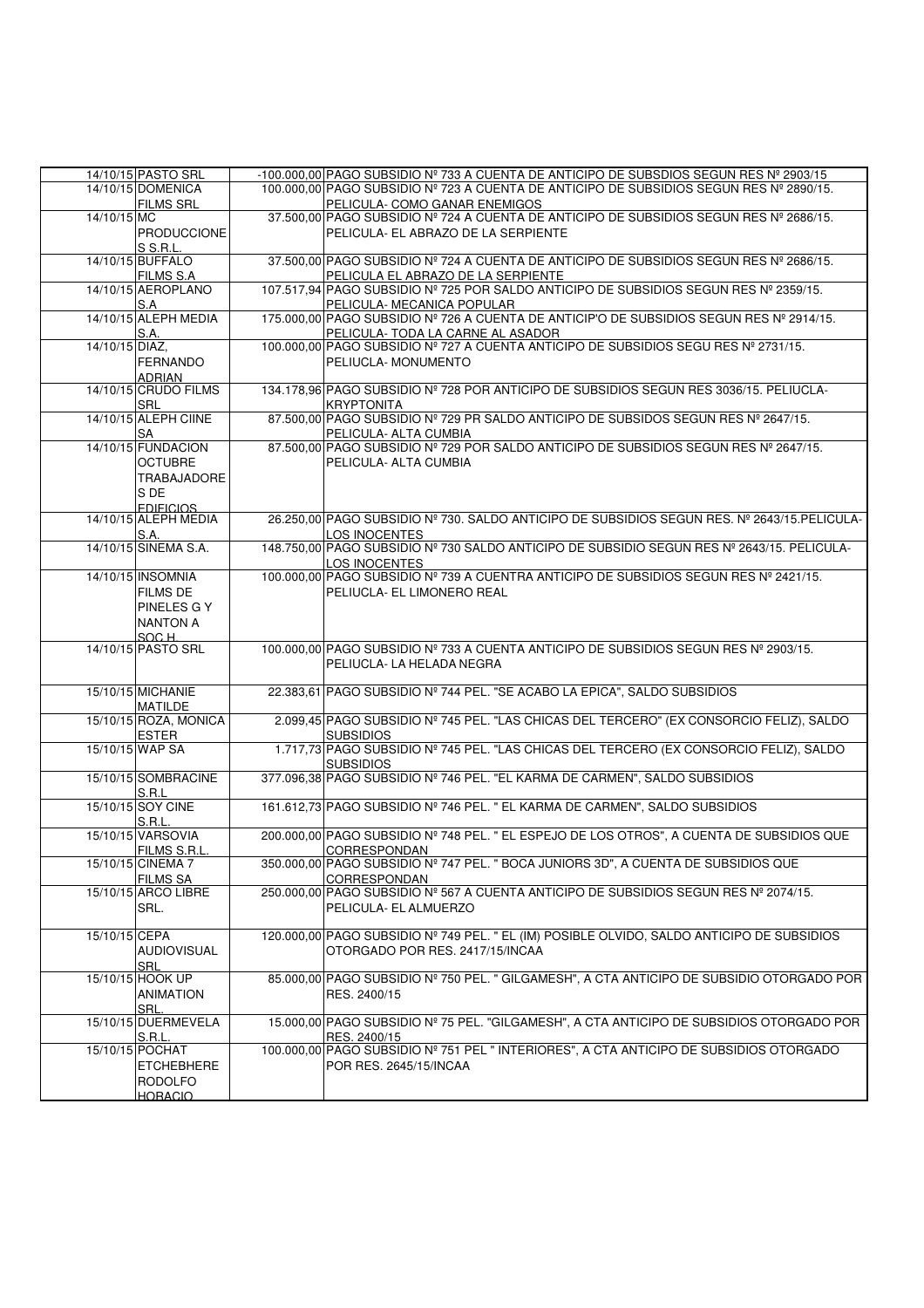|                | 14/10/15 PASTO SRL<br>14/10/15 DOMENICA  | -100.000.00 PAGO SUBSIDIO Nº 733 A CUENTA DE ANTICIPO DE SUBSDIOS SEGUN RES Nº 2903/15<br>100.000,00 PAGO SUBSIDIO Nº 723 A CUENTA DE ANTICIPO DE SUBSIDIOS SEGUN RES Nº 2890/15. |
|----------------|------------------------------------------|-----------------------------------------------------------------------------------------------------------------------------------------------------------------------------------|
|                | <b>FILMS SRL</b>                         | PELICULA- COMO GANAR ENEMIGOS                                                                                                                                                     |
| 14/10/15 MC    |                                          | 37.500,00 PAGO SUBSIDIO Nº 724 A CUENTA DE ANTICIPO DE SUBSIDIOS SEGUN RES Nº 2686/15.                                                                                            |
|                | PRODUCCIONE<br>S S.R.L.                  | PELICULA- EL ABRAZO DE LA SERPIENTE                                                                                                                                               |
|                | 14/10/15 BUFFALO                         | 37.500,00 PAGO SUBSIDIO Nº 724 A CUENTA DE ANTICIPO DE SUBSIDIOS SEGUN RES Nº 2686/15.                                                                                            |
|                | <b>FILMS S.A</b><br>14/10/15 AEROPLANO   | PELICULA EL ABRAZO DE LA SERPIENTE<br>107.517,94 PAGO SUBSIDIO Nº 725 POR SALDO ANTICIPO DE SUBSIDIOS SEGUN RES Nº 2359/15.                                                       |
|                | S.A                                      | PELICULA- MECANICA POPULAR                                                                                                                                                        |
|                | 14/10/15 ALEPH MEDIA                     | 175.000,00 PAGO SUBSIDIO Nº 726 A CUENTA DE ANTICIP'O DE SUBSIDIOS SEGUN RES Nº 2914/15.<br>PELICULA- TODA LA CARNE AL ASADOR                                                     |
| 14/10/15 DIAZ, | S.A.                                     | 100.000,00 PAGO SUBSIDIO Nº 727 A CUENTA ANTICIPO DE SUBSIDIOS SEGU RES Nº 2731/15.                                                                                               |
|                | <b>FERNANDO</b><br><b>ADRIAN</b>         | PELIUCLA- MONUMENTO                                                                                                                                                               |
|                | 14/10/15 CRUDO FILMS<br>SRL              | 134.178,96 PAGO SUBSIDIO Nº 728 POR ANTICIPO DE SUBSIDIOS SEGUN RES 3036/15. PELIUCLA-<br><b>KRYPTONITA</b>                                                                       |
|                | 14/10/15 ALEPH CIINE                     | 87.500,00 PAGO SUBSIDIO Nº 729 PR SALDO ANTICIPO DE SUBSIDOS SEGUN RES Nº 2647/15.                                                                                                |
|                | SA<br>14/10/15 FUNDACION                 | PELICULA- ALTA CUMBIA<br>87.500,00 PAGO SUBSIDIO Nº 729 POR SALDO ANTICIPO DE SUBSIDIOS SEGUN RES Nº 2647/15.                                                                     |
|                | <b>OCTUBRE</b><br>TRABAJADORE<br>S DE    | PELICULA- ALTA CUMBIA                                                                                                                                                             |
|                | <b>EDIFICIOS</b><br>14/10/15 ALEPH MEDIA | 26.250,00 PAGO SUBSIDIO Nº 730. SALDO ANTICIPO DE SUBSIDIOS SEGUN RES. Nº 2643/15. PELICULA-                                                                                      |
|                | S.A.                                     | LOS INOCENTES                                                                                                                                                                     |
|                | 14/10/15 SINEMA S.A.                     | 148.750,00 PAGO SUBSIDIO Nº 730 SALDO ANTICIPO DE SUBSIDIO SEGUN RES Nº 2643/15. PELICULA-<br><b>LOS INOCENTES</b>                                                                |
|                | 14/10/15 INSOMNIA                        | 100.000,00 PAGO SUBSIDIO Nº 739 A CUENTRA ANTICIPO DE SUBSIDIOS SEGUN RES Nº 2421/15.                                                                                             |
|                | <b>FILMS DE</b><br>PINELES G Y           | PELIUCLA- EL LIMONERO REAL                                                                                                                                                        |
|                | <b>NANTON A</b>                          |                                                                                                                                                                                   |
|                | SOC H                                    |                                                                                                                                                                                   |
|                | 14/10/15 PASTO SRL                       | 100.000,00 PAGO SUBSIDIO Nº 733 A CUENTA ANTICIPO DE SUBSIDIOS SEGUN RES Nº 2903/15.<br>PELIUCLA- LA HELADA NEGRA                                                                 |
|                | 15/10/15 MICHANIE<br><b>MATILDE</b>      | 22.383,61 PAGO SUBSIDIO Nº 744 PEL. "SE ACABO LA EPICA", SALDO SUBSIDIOS                                                                                                          |
|                | 15/10/15 ROZA, MONICA                    | 2.099,45 PAGO SUBSIDIO Nº 745 PEL. "LAS CHICAS DEL TERCERO" (EX CONSORCIO FELIZ), SALDO                                                                                           |
|                | <b>ESTER</b><br>15/10/15 WAP SA          | <b>SUBSIDIOS</b><br>1.717,73 PAGO SUBSIDIO Nº 745 PEL. "LAS CHICAS DEL TERCERO (EX CONSORCIO FELIZ), SALDO                                                                        |
|                |                                          | <b>SUBSIDIOS</b>                                                                                                                                                                  |
|                | 15/10/15 SOMBRACINE                      | 377.096,38 PAGO SUBSIDIO Nº 746 PEL. "EL KARMA DE CARMEN", SALDO SUBSIDIOS                                                                                                        |
|                | S.R.L<br>15/10/15 SOY CINE               | 161.612,73 PAGO SUBSIDIO Nº 746 PEL. " EL KARMA DE CARMEN", SALDO SUBSIDIOS                                                                                                       |
|                | S.R.L.                                   |                                                                                                                                                                                   |
|                | 15/10/15 VARSOVIA                        | 200.000,00 PAGO SUBSIDIO Nº 748 PEL. " EL ESPEJO DE LOS OTROS", A CUENTA DE SUBSIDIOS QUE                                                                                         |
|                | FILMS S.R.L.<br>15/10/15 CINEMA 7        | CORRESPONDAN<br>350.000,00 PAGO SUBSIDIO Nº 747 PEL. " BOCA JUNIORS 3D", A CUENTA DE SUBSIDIOS QUE                                                                                |
|                | <b>FILMS SA</b>                          | CORRESPONDAN                                                                                                                                                                      |
|                | 15/10/15 ARCO LIBRE                      | 250.000,00 PAGO SUBSIDIO Nº 567 A CUENTA ANTICIPO DE SUBSIDIOS SEGUN RES Nº 2074/15.                                                                                              |
|                | SRL.                                     | PELICULA- EL ALMUERZO                                                                                                                                                             |
| 15/10/15 CEPA  |                                          | 120.000,00 PAGO SUBSIDIO Nº 749 PEL. " EL (IM) POSIBLE OLVIDO, SALDO ANTICIPO DE SUBSIDIOS                                                                                        |
|                | <b>AUDIOVISUAL</b>                       | OTORGADO POR RES. 2417/15/INCAA                                                                                                                                                   |
|                | SRL<br>15/10/15 HOOK UP                  | 85.000,00 PAGO SUBSIDIO Nº 750 PEL. " GILGAMESH", A CTA ANTICIPO DE SUBSIDIO OTORGADO POR                                                                                         |
|                | ANIMATION                                | RES. 2400/15                                                                                                                                                                      |
|                | SRL.<br>15/10/15 DUERMEVELA              | 15.000,00 PAGO SUBSIDIO Nº 75 PEL. "GILGAMESH", A CTA ANTICIPO DE SUBSIDIOS OTORGADO POR                                                                                          |
|                | S.R.L.                                   | RES. 2400/15                                                                                                                                                                      |
|                | 15/10/15 POCHAT                          | 100.000,00 PAGO SUBSIDIO Nº 751 PEL " INTERIORES", A CTA ANTICIPO DE SUBSIDIOS OTORGADO                                                                                           |
|                | <b>ETCHEBHERE</b>                        | POR RES. 2645/15/INCAA                                                                                                                                                            |
|                | <b>RODOLFO</b><br><b>HORACIO</b>         |                                                                                                                                                                                   |
|                |                                          |                                                                                                                                                                                   |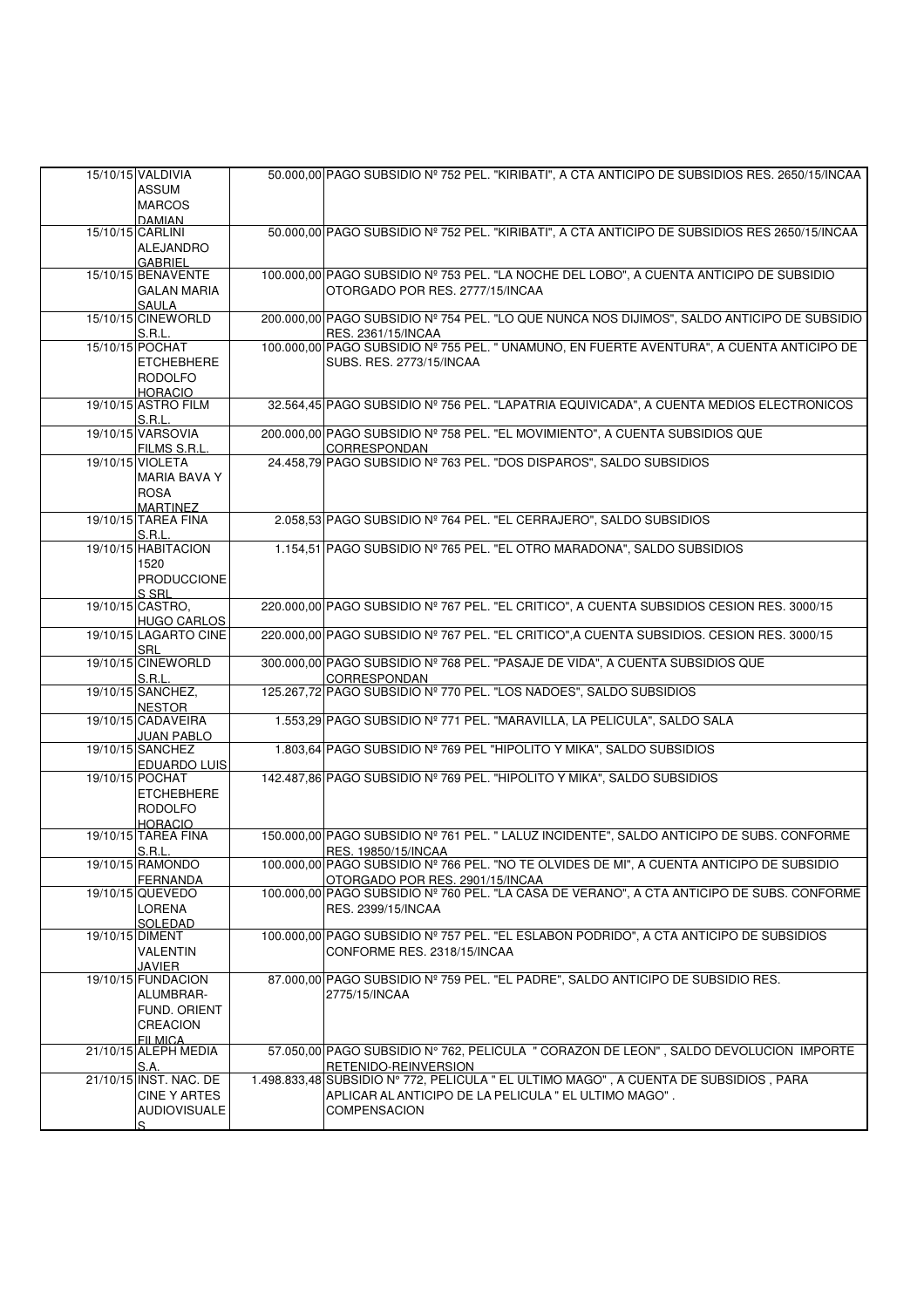| 15/10/15 VALDIVIA            | 50.000,00 PAGO SUBSIDIO Nº 752 PEL. "KIRIBATI", A CTA ANTICIPO DE SUBSIDIOS RES. 2650/15/INCAA |
|------------------------------|------------------------------------------------------------------------------------------------|
| <b>ASSUM</b>                 |                                                                                                |
|                              |                                                                                                |
| <b>MARCOS</b>                |                                                                                                |
| <b>DAMIAN</b>                |                                                                                                |
| 15/10/15 CARLINI             | 50.000,00 PAGO SUBSIDIO Nº 752 PEL. "KIRIBATI", A CTA ANTICIPO DE SUBSIDIOS RES 2650/15/INCAA  |
| <b>ALEJANDRO</b>             |                                                                                                |
| <b>GABRIEL</b>               |                                                                                                |
| 15/10/15 BENAVENTE           | 100.000,00 PAGO SUBSIDIO Nº 753 PEL. "LA NOCHE DEL LOBO", A CUENTA ANTICIPO DE SUBSIDIO        |
| <b>GALAN MARIA</b>           | OTORGADO POR RES. 2777/15/INCAA                                                                |
|                              |                                                                                                |
| SAULA<br>15/10/15 CINEWORLD  | 200.000,00 PAGO SUBSIDIO Nº 754 PEL. "LO QUE NUNCA NOS DIJIMOS", SALDO ANTICIPO DE SUBSIDIO    |
|                              |                                                                                                |
| S.R.L.                       | RES. 2361/15/INCAA                                                                             |
| 15/10/15 POCHAT              | 100.000,00 PAGO SUBSIDIO Nº 755 PEL. " UNAMUNO, EN FUERTE AVENTURA", A CUENTA ANTICIPO DE      |
| <b>ETCHEBHERE</b>            | SUBS. RES. 2773/15/INCAA                                                                       |
| <b>RODOLFO</b>               |                                                                                                |
| <b>HORACIO</b>               |                                                                                                |
| 19/10/15 ASTRO FILM          | 32.564,45 PAGO SUBSIDIO Nº 756 PEL. "LAPATRIA EQUIVICADA", A CUENTA MEDIOS ELECTRONICOS        |
|                              |                                                                                                |
| S.R.L.                       |                                                                                                |
| 19/10/15 VARSOVIA            | 200.000,00 PAGO SUBSIDIO Nº 758 PEL. "EL MOVIMIENTO", A CUENTA SUBSIDIOS QUE                   |
| FILMS S.R.L.                 | CORRESPONDAN                                                                                   |
| 19/10/15 VIOLETA             | 24.458,79 PAGO SUBSIDIO Nº 763 PEL. "DOS DISPAROS", SALDO SUBSIDIOS                            |
| <b>MARIA BAVA Y</b>          |                                                                                                |
| <b>ROSA</b>                  |                                                                                                |
| <b>MARTINEZ</b>              |                                                                                                |
| 19/10/15 TAREA FINA          | 2.058,53 PAGO SUBSIDIO Nº 764 PEL. "EL CERRAJERO", SALDO SUBSIDIOS                             |
|                              |                                                                                                |
| S.R.L.                       |                                                                                                |
| 19/10/15 HABITACION          | 1.154,51 PAGO SUBSIDIO Nº 765 PEL. "EL OTRO MARADONA", SALDO SUBSIDIOS                         |
| 1520                         |                                                                                                |
| PRODUCCIONE                  |                                                                                                |
| S SRL                        |                                                                                                |
| 19/10/15 CASTRO.             | 220.000,00 PAGO SUBSIDIO Nº 767 PEL. "EL CRITICO", A CUENTA SUBSIDIOS CESION RES. 3000/15      |
|                              |                                                                                                |
| <b>HUGO CARLOS</b>           |                                                                                                |
| 19/10/15 LAGARTO CINE        | 220.000,00 PAGO SUBSIDIO Nº 767 PEL. "EL CRITICO", A CUENTA SUBSIDIOS. CESION RES. 3000/15     |
| SRL                          |                                                                                                |
| 19/10/15 CINEWORLD           | 300.000,00 PAGO SUBSIDIO Nº 768 PEL. "PASAJE DE VIDA", A CUENTA SUBSIDIOS QUE                  |
| S.R.L.                       | <b>CORRESPONDAN</b>                                                                            |
| 19/10/15 SANCHEZ,            | 125.267,72 PAGO SUBSIDIO Nº 770 PEL. "LOS NADOES", SALDO SUBSIDIOS                             |
| <b>NESTOR</b>                |                                                                                                |
| 19/10/15 CADAVEIRA           | 1.553,29 PAGO SUBSIDIO Nº 771 PEL. "MARAVILLA, LA PELICULA", SALDO SALA                        |
|                              |                                                                                                |
| <b>JUAN PABLO</b>            |                                                                                                |
| 19/10/15 SANCHEZ             | 1.803,64 PAGO SUBSIDIO Nº 769 PEL "HIPOLITO Y MIKA", SALDO SUBSIDIOS                           |
| <b>EDUARDO LUIS</b>          |                                                                                                |
| 19/10/15 POCHAT              | 142.487,86 PAGO SUBSIDIO Nº 769 PEL. "HIPOLITO Y MIKA", SALDO SUBSIDIOS                        |
| <b>ETCHEBHERE</b>            |                                                                                                |
| <b>RODOLFO</b>               |                                                                                                |
| <b>HORACIO</b>               |                                                                                                |
| 19/10/15 TAREA FINA          | 150.000,00 PAGO SUBSIDIO Nº 761 PEL. " LALUZ INCIDENTE", SALDO ANTICIPO DE SUBS. CONFORME      |
| S.R.L.                       | RES. 19850/15/INCAA                                                                            |
|                              |                                                                                                |
| 19/10/15 RAMONDO             | 100.000,00 PAGO SUBSIDIO № 766 PEL. "NO TE OLVIDES DE MI", A CUENTA ANTICIPO DE SUBSIDIO       |
| <b>FERNANDA</b>              | OTORGADO POR RES. 2901/15/INCAA                                                                |
| 19/10/15 QUEVEDO             | 100.000,00 PAGO SUBSIDIO Nº 760 PEL. "LA CASA DE VERANO", A CTA ANTICIPO DE SUBS. CONFORME     |
| LORENA                       | RES. 2399/15/INCAA                                                                             |
| SOLEDAD                      |                                                                                                |
| 19/10/15 DIMENT              | 100.000,00 PAGO SUBSIDIO Nº 757 PEL. "EL ESLABON PODRIDO", A CTA ANTICIPO DE SUBSIDIOS         |
| <b>VALENTIN</b>              | CONFORME RES. 2318/15/INCAA                                                                    |
|                              |                                                                                                |
| JAVIER<br>19/10/15 FUNDACION | 87.000,00 PAGO SUBSIDIO Nº 759 PEL. "EL PADRE", SALDO ANTICIPO DE SUBSIDIO RES.                |
|                              |                                                                                                |
| ALUMBRAR-                    | 2775/15/INCAA                                                                                  |
| FUND. ORIENT                 |                                                                                                |
| <b>CREACION</b>              |                                                                                                |
| FII MICA                     |                                                                                                |
| 21/10/15 ALEPH MEDIA         | 57.050,00 PAGO SUBSIDIO Nº 762, PELICULA " CORAZON DE LEON", SALDO DEVOLUCION IMPORTE          |
| S.A.                         | RETENIDO-REINVERSION                                                                           |
| 21/10/15 INST. NAC. DE       | 1.498.833,48 SUBSIDIO N° 772, PELICULA " EL ULTIMO MAGO", A CUENTA DE SUBSIDIOS, PARA          |
|                              |                                                                                                |
| <b>CINE Y ARTES</b>          | APLICAR AL ANTICIPO DE LA PELICULA " EL ULTIMO MAGO".                                          |
| <b>AUDIOVISUALE</b>          | COMPENSACION                                                                                   |
| S                            |                                                                                                |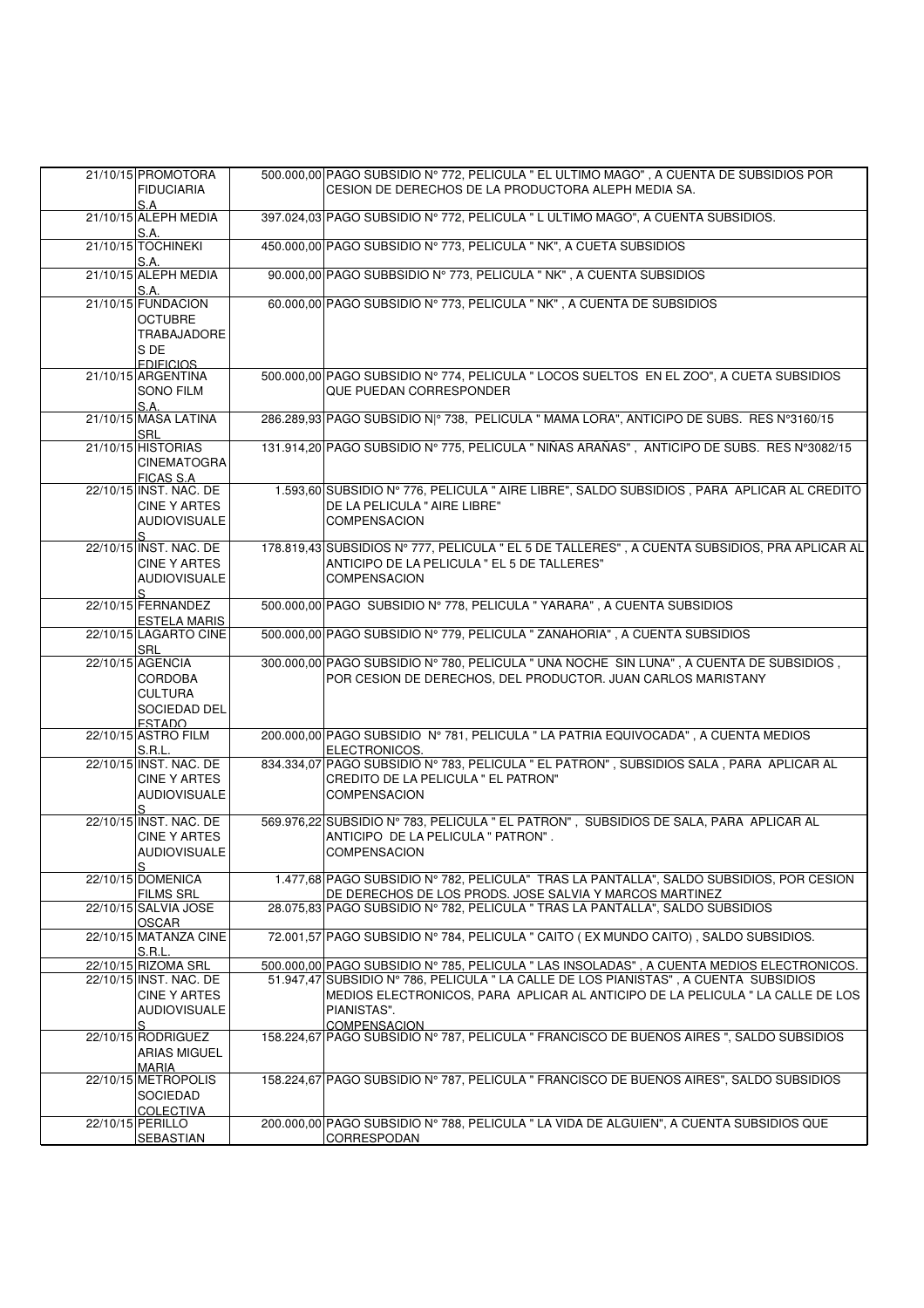| 21/10/15 PROMOTORA<br><b>FIDUCIARIA</b>                                                      | 500.000,00 PAGO SUBSIDIO N° 772, PELICULA " EL ULTIMO MAGO", A CUENTA DE SUBSIDIOS POR<br>CESION DE DERECHOS DE LA PRODUCTORA ALEPH MEDIA SA.                                                         |
|----------------------------------------------------------------------------------------------|-------------------------------------------------------------------------------------------------------------------------------------------------------------------------------------------------------|
| S.A<br>21/10/15 ALEPH MEDIA<br>S.A.                                                          | 397.024,03 PAGO SUBSIDIO Nº 772, PELICULA " L ULTIMO MAGO", A CUENTA SUBSIDIOS.                                                                                                                       |
| 21/10/15 TOCHINEKI<br>S.A.                                                                   | 450.000,00 PAGO SUBSIDIO Nº 773, PELICULA " NK", A CUETA SUBSIDIOS                                                                                                                                    |
| 21/10/15 ALEPH MEDIA<br>S.A.                                                                 | 90.000,00 PAGO SUBBSIDIO Nº 773, PELICULA " NK", A CUENTA SUBSIDIOS                                                                                                                                   |
| 21/10/15 FUNDACION<br><b>OCTUBRE</b><br><b>TRABAJADORE</b><br>S DE<br><b>FDIFICIOS</b>       | 60.000,00 PAGO SUBSIDIO Nº 773, PELICULA " NK", A CUENTA DE SUBSIDIOS                                                                                                                                 |
| 21/10/15 ARGENTINA<br><b>SONO FILM</b><br>S.A.                                               | 500.000,00 PAGO SUBSIDIO Nº 774, PELICULA " LOCOS SUELTOS EN EL ZOO", A CUETA SUBSIDIOS<br>QUE PUEDAN CORRESPONDER                                                                                    |
| 21/10/15 MASA LATINA<br><b>SRL</b>                                                           | 286.289,93 PAGO SUBSIDIO N º 738, PELICULA " MAMA LORA", ANTICIPO DE SUBS. RES Nº3160/15                                                                                                              |
| 21/10/15 HISTORIAS<br><b>CINEMATOGRA</b><br><b>FICAS S.A</b>                                 | 131.914,20 PAGO SUBSIDIO Nº 775, PELICULA " NIÑAS ARAÑAS", ANTICIPO DE SUBS. RES Nº3082/15                                                                                                            |
| 22/10/15 INST. NAC. DE<br>CINE Y ARTES<br><b>AUDIOVISUALE</b><br>S.                          | 1.593,60 SUBSIDIO Nº 776, PELICULA " AIRE LIBRE", SALDO SUBSIDIOS, PARA APLICAR AL CREDITO<br>DE LA PELICULA " AIRE LIBRE"<br><b>COMPENSACION</b>                                                     |
| 22/10/15 INST. NAC. DE<br><b>CINE Y ARTES</b><br><b>AUDIOVISUALE</b><br>S                    | 178.819,43 SUBSIDIOS Nº 777, PELICULA " EL 5 DE TALLERES", A CUENTA SUBSIDIOS, PRA APLICAR AL<br>ANTICIPO DE LA PELICULA " EL 5 DE TALLERES"<br><b>COMPENSACION</b>                                   |
| 22/10/15 FERNANDEZ<br><b>ESTELA MARIS</b>                                                    | 500.000,00 PAGO SUBSIDIO Nº 778, PELICULA " YARARA", A CUENTA SUBSIDIOS                                                                                                                               |
| 22/10/15 LAGARTO CINE<br><b>SRL</b>                                                          | 500.000,00 PAGO SUBSIDIO Nº 779, PELICULA " ZANAHORIA", A CUENTA SUBSIDIOS                                                                                                                            |
| 22/10/15 AGENCIA<br><b>CORDOBA</b><br><b>CULTURA</b><br><b>SOCIEDAD DEL</b><br><b>ESTADO</b> | 300.000,00 PAGO SUBSIDIO Nº 780, PELICULA " UNA NOCHE SIN LUNA", A CUENTA DE SUBSIDIOS,<br>POR CESION DE DERECHOS, DEL PRODUCTOR. JUAN CARLOS MARISTANY                                               |
| 22/10/15 ASTRO FILM<br>S.R.L.                                                                | 200.000,00 PAGO SUBSIDIO Nº 781, PELICULA " LA PATRIA EQUIVOCADA", A CUENTA MEDIOS<br>ELECTRONICOS.                                                                                                   |
| 22/10/15 INST. NAC. DE<br><b>CINE Y ARTES</b><br><b>AUDIOVISUALE</b><br>S                    | 834.334,07 PAGO SUBSIDIO Nº 783, PELICULA " EL PATRON", SUBSIDIOS SALA, PARA APLICAR AL<br>CREDITO DE LA PELICULA " EL PATRON"<br><b>COMPENSACION</b>                                                 |
| 22/10/15 INST. NAC. DE<br><b>CINE Y ARTES</b><br><b>AUDIOVISUALE</b><br>S                    | 569.976,22 SUBSIDIO Nº 783, PELICULA " EL PATRON", SUBSIDIOS DE SALA, PARA APLICAR AL<br>ANTICIPO DE LA PELICULA " PATRON".<br><b>COMPENSACION</b>                                                    |
| 22/10/15 DOMENICA<br><b>FILMS SRL</b>                                                        | 1.477,68 PAGO SUBSIDIO Nº 782, PELICULA" TRAS LA PANTALLA", SALDO SUBSIDIOS, POR CESION<br>DE DERECHOS DE LOS PRODS. JOSE SALVIA Y MARCOS MARTINEZ                                                    |
| 22/10/15 SALVIA JOSE<br><b>OSCAR</b>                                                         | 28.075,83 PAGO SUBSIDIO Nº 782, PELICULA " TRAS LA PANTALLA", SALDO SUBSIDIOS                                                                                                                         |
| 22/10/15 MATANZA CINE<br>S.R.L.                                                              | 72.001,57 PAGO SUBSIDIO Nº 784, PELICULA " CAITO (EX MUNDO CAITO), SALDO SUBSIDIOS.                                                                                                                   |
| 22/10/15 RIZOMA SRL                                                                          | 500.000,00 PAGO SUBSIDIO Nº 785, PELICULA " LAS INSOLADAS", A CUENTA MEDIOS ELECTRONICOS.                                                                                                             |
| 22/10/15 INST. NAC. DE<br><b>CINE Y ARTES</b><br><b>AUDIOVISUALE</b><br>S                    | 51.947,47 SUBSIDIO N° 786, PELICULA " LA CALLE DE LOS PIANISTAS", A CUENTA SUBSIDIOS<br>MEDIOS ELECTRONICOS. PARA APLICAR AL ANTICIPO DE LA PELICULA " LA CALLE DE LOS<br>PIANISTAS".<br>COMPENSACION |
| 22/10/15 RODRIGUEZ<br><b>ARIAS MIGUEL</b><br><b>MARIA</b>                                    | 158.224,67 PAGO SUBSIDIO Nº 787, PELICULA " FRANCISCO DE BUENOS AIRES ", SALDO SUBSIDIOS                                                                                                              |
| 22/10/15 METROPOLIS<br><b>SOCIEDAD</b><br><b>COLECTIVA</b>                                   | 158.224,67 PAGO SUBSIDIO Nº 787, PELICULA " FRANCISCO DE BUENOS AIRES", SALDO SUBSIDIOS                                                                                                               |
| 22/10/15 PERILLO<br><b>SEBASTIAN</b>                                                         | 200.000,00 PAGO SUBSIDIO N° 788, PELICULA " LA VIDA DE ALGUIEN", A CUENTA SUBSIDIOS QUE<br>CORRESPODAN                                                                                                |
|                                                                                              |                                                                                                                                                                                                       |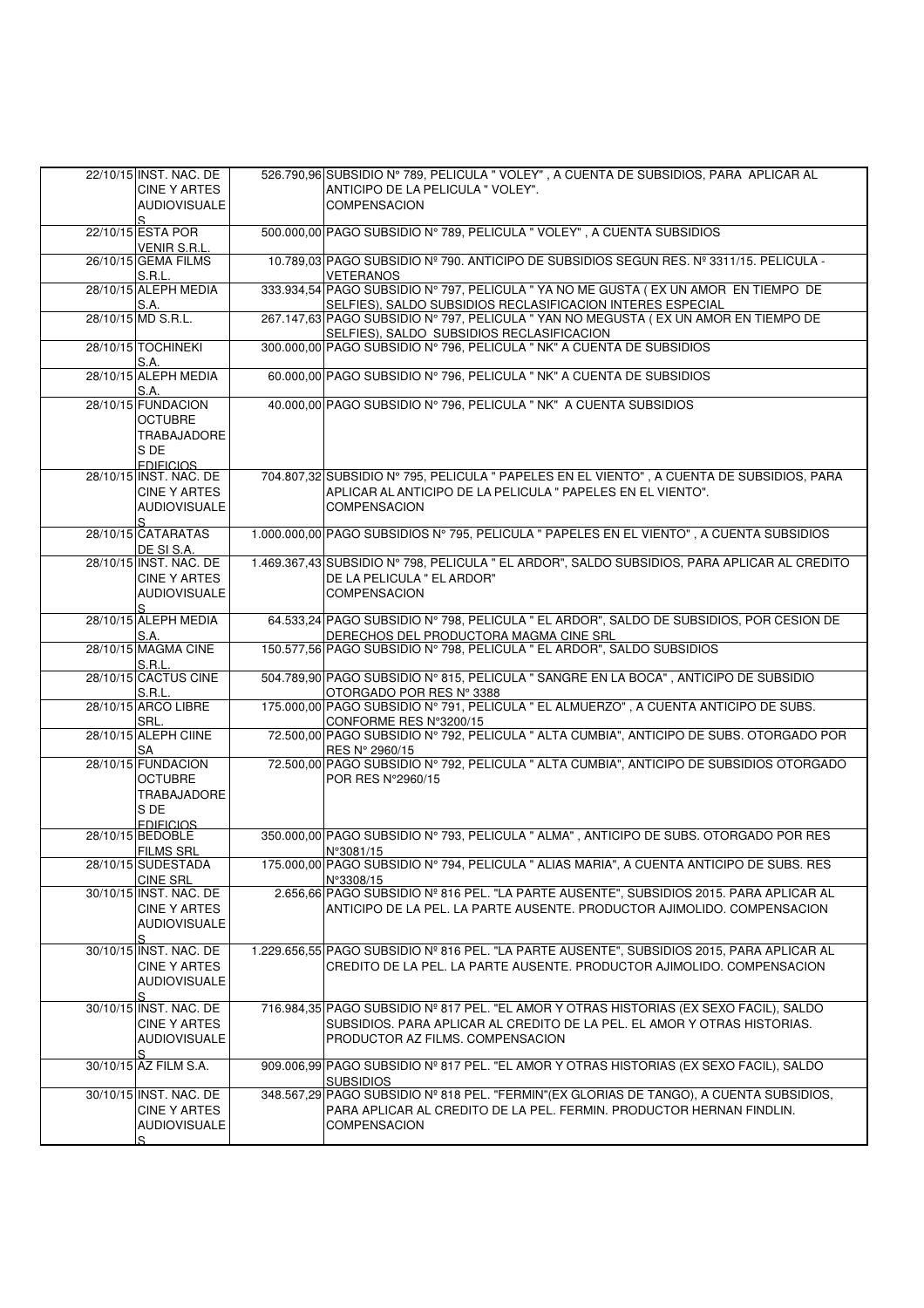| 22/10/15 INST. NAC. DE               | 526.790,96 SUBSIDIO Nº 789, PELICULA " VOLEY", A CUENTA DE SUBSIDIOS, PARA APLICAR AL        |
|--------------------------------------|----------------------------------------------------------------------------------------------|
|                                      |                                                                                              |
| CINE Y ARTES                         | ANTICIPO DE LA PELICULA " VOLEY".                                                            |
| <b>AUDIOVISUALE</b>                  | <b>COMPENSACION</b>                                                                          |
| S                                    |                                                                                              |
| 22/10/15 ESTA POR                    | 500.000,00 PAGO SUBSIDIO Nº 789, PELICULA " VOLEY", A CUENTA SUBSIDIOS                       |
| VENIR S.R.L.                         |                                                                                              |
| 26/10/15 GEMA FILMS                  | 10.789.03 PAGO SUBSIDIO Nº 790. ANTICIPO DE SUBSIDIOS SEGUN RES. Nº 3311/15. PELICULA -      |
| <b>S.R.L.</b>                        | <b>VETERANOS</b>                                                                             |
| 28/10/15 ALEPH MEDIA                 | 333.934,54 PAGO SUBSIDIO Nº 797, PELICULA " YA NO ME GUSTA ( EX UN AMOR EN TIEMPO DE         |
| S.A.                                 | SELFIES), SALDO SUBSIDIOS RECLASIFICACION INTERES ESPECIAL                                   |
| 28/10/15 MD S.R.L.                   | 267.147,63 PAGO SUBSIDIO Nº 797, PELICULA " YAN NO MEGUSTA (EX UN AMOR EN TIEMPO DE          |
|                                      |                                                                                              |
|                                      | SELFIES), SALDO SUBSIDIOS RECLASIFICACION                                                    |
| 28/10/15 TOCHINEKI                   | 300.000,00 PAGO SUBSIDIO Nº 796, PELICULA " NK" A CUENTA DE SUBSIDIOS                        |
| S.A.                                 |                                                                                              |
| 28/10/15 ALEPH MEDIA                 | 60.000.00 PAGO SUBSIDIO Nº 796, PELICULA " NK" A CUENTA DE SUBSIDIOS                         |
| S.A.                                 |                                                                                              |
| 28/10/15 FUNDACION                   | 40.000,00 PAGO SUBSIDIO Nº 796, PELICULA " NK" A CUENTA SUBSIDIOS                            |
| <b>OCTUBRE</b>                       |                                                                                              |
| TRABAJADORE                          |                                                                                              |
| S DE                                 |                                                                                              |
| <b>FDIFICIOS</b>                     |                                                                                              |
| 28/10/15 INST. NAC. DE               | 704.807,32 SUBSIDIO Nº 795, PELICULA " PAPELES EN EL VIENTO", A CUENTA DE SUBSIDIOS, PARA    |
| <b>CINE Y ARTES</b>                  | APLICAR AL ANTICIPO DE LA PELICULA " PAPELES EN EL VIENTO".                                  |
| <b>AUDIOVISUALE</b>                  | <b>COMPENSACION</b>                                                                          |
|                                      |                                                                                              |
| S<br>28/10/15 CATARATAS              | 1.000.000.00 PAGO SUBSIDIOS N° 795, PELICULA " PAPELES EN EL VIENTO", A CUENTA SUBSIDIOS     |
|                                      |                                                                                              |
| DE SI S.A.                           |                                                                                              |
| 28/10/15 INST. NAC. DE               | 1.469.367,43 SUBSIDIO Nº 798, PELICULA " EL ARDOR", SALDO SUBSIDIOS, PARA APLICAR AL CREDITO |
| <b>CINE Y ARTES</b>                  | DE LA PELICULA " EL ARDOR"                                                                   |
| <b>AUDIOVISUALE</b>                  | <b>COMPENSACION</b>                                                                          |
| S.                                   |                                                                                              |
| 28/10/15 ALEPH MEDIA                 | 64.533,24 PAGO SUBSIDIO Nº 798, PELICULA " EL ARDOR", SALDO DE SUBSIDIOS, POR CESION DE      |
| S.A.                                 | DERECHOS DEL PRODUCTORA MAGMA CINE SRL                                                       |
| 28/10/15 MAGMA CINE                  | 150.577,56 PAGO SUBSIDIO Nº 798, PELICULA " EL ARDOR", SALDO SUBSIDIOS                       |
| S.R.L.                               |                                                                                              |
| 28/10/15 CACTUS CINE                 | 504.789,90 PAGO SUBSIDIO N° 815, PELICULA " SANGRE EN LA BOCA", ANTICIPO DE SUBSIDIO         |
| S.R.L.                               | OTORGADO POR RES Nº 3388                                                                     |
| 28/10/15 ARCO LIBRE                  | 175.000,00 PAGO SUBSIDIO Nº 791, PELICULA " EL ALMUERZO", A CUENTA ANTICIPO DE SUBS.         |
| SRL.                                 | CONFORME RES N°3200/15                                                                       |
| 28/10/15 ALEPH CIINE                 | 72.500,00 PAGO SUBSIDIO Nº 792, PELICULA " ALTA CUMBIA", ANTICIPO DE SUBS. OTORGADO POR      |
| SA                                   | RES Nº 2960/15                                                                               |
| 28/10/15 FUNDACION                   | 72.500,00 PAGO SUBSIDIO Nº 792, PELICULA " ALTA CUMBIA", ANTICIPO DE SUBSIDIOS OTORGADO      |
| <b>OCTUBRE</b>                       | POR RES N°2960/15                                                                            |
|                                      |                                                                                              |
| TRABAJADORE                          |                                                                                              |
| S DE                                 |                                                                                              |
| <b>FDIFICIOS</b><br>28/10/15 BEDOBLE | 350.000,00 PAGO SUBSIDIO N° 793, PELICULA " ALMA", ANTICIPO DE SUBS. OTORGADO POR RES        |
|                                      |                                                                                              |
| <b>FILMS SRL</b>                     | N°3081/15                                                                                    |
| 28/10/15 SUDESTADA                   | 175.000,00∣PAGO SUBSIDIO N° 794, PELICULA " ALIAS MARIA", A CUENTA ANTICIPO DE SUBS. RES     |
| <b>CINE SRL</b>                      | N°3308/15                                                                                    |
| 30/10/15 INST. NAC. DE               | 2.656,66 PAGO SUBSIDIO Nº 816 PEL. "LA PARTE AUSENTE", SUBSIDIOS 2015. PARA APLICAR AL       |
| <b>CINE Y ARTES</b>                  | ANTICIPO DE LA PEL. LA PARTE AUSENTE. PRODUCTOR AJIMOLIDO. COMPENSACION                      |
| <b>AUDIOVISUALE</b>                  |                                                                                              |
| S                                    |                                                                                              |
| 30/10/15 INST. NAC. DE               | 1.229.656,55 PAGO SUBSIDIO Nº 816 PEL. "LA PARTE AUSENTE", SUBSIDIOS 2015, PARA APLICAR AL   |
| <b>CINE Y ARTES</b>                  | CREDITO DE LA PEL. LA PARTE AUSENTE. PRODUCTOR AJIMOLIDO. COMPENSACION                       |
| <b>AUDIOVISUALE</b>                  |                                                                                              |
| S                                    |                                                                                              |
| 30/10/15 INST. NAC. DE               | 716.984,35 PAGO SUBSIDIO Nº 817 PEL. "EL AMOR Y OTRAS HISTORIAS (EX SEXO FACIL), SALDO       |
| <b>CINE Y ARTES</b>                  | SUBSIDIOS. PARA APLICAR AL CREDITO DE LA PEL. EL AMOR Y OTRAS HISTORIAS.                     |
| <b>AUDIOVISUALE</b>                  | PRODUCTOR AZ FILMS. COMPENSACION                                                             |
| S                                    |                                                                                              |
| 30/10/15 AZ FILM S.A.                | 909.006,99 PAGO SUBSIDIO Nº 817 PEL. "EL AMOR Y OTRAS HISTORIAS (EX SEXO FACIL), SALDO       |
|                                      | <b>SUBSIDIOS</b>                                                                             |
| 30/10/15 INST. NAC. DE               | 348.567,29 PAGO SUBSIDIO Nº 818 PEL. "FERMIN" (EX GLORIAS DE TANGO), A CUENTA SUBSIDIOS,     |
|                                      |                                                                                              |
| <b>CINE Y ARTES</b>                  | PARA APLICAR AL CREDITO DE LA PEL. FERMIN. PRODUCTOR HERNAN FINDLIN.                         |
| <b>AUDIOVISUALE</b>                  | <b>COMPENSACION</b>                                                                          |
| S                                    |                                                                                              |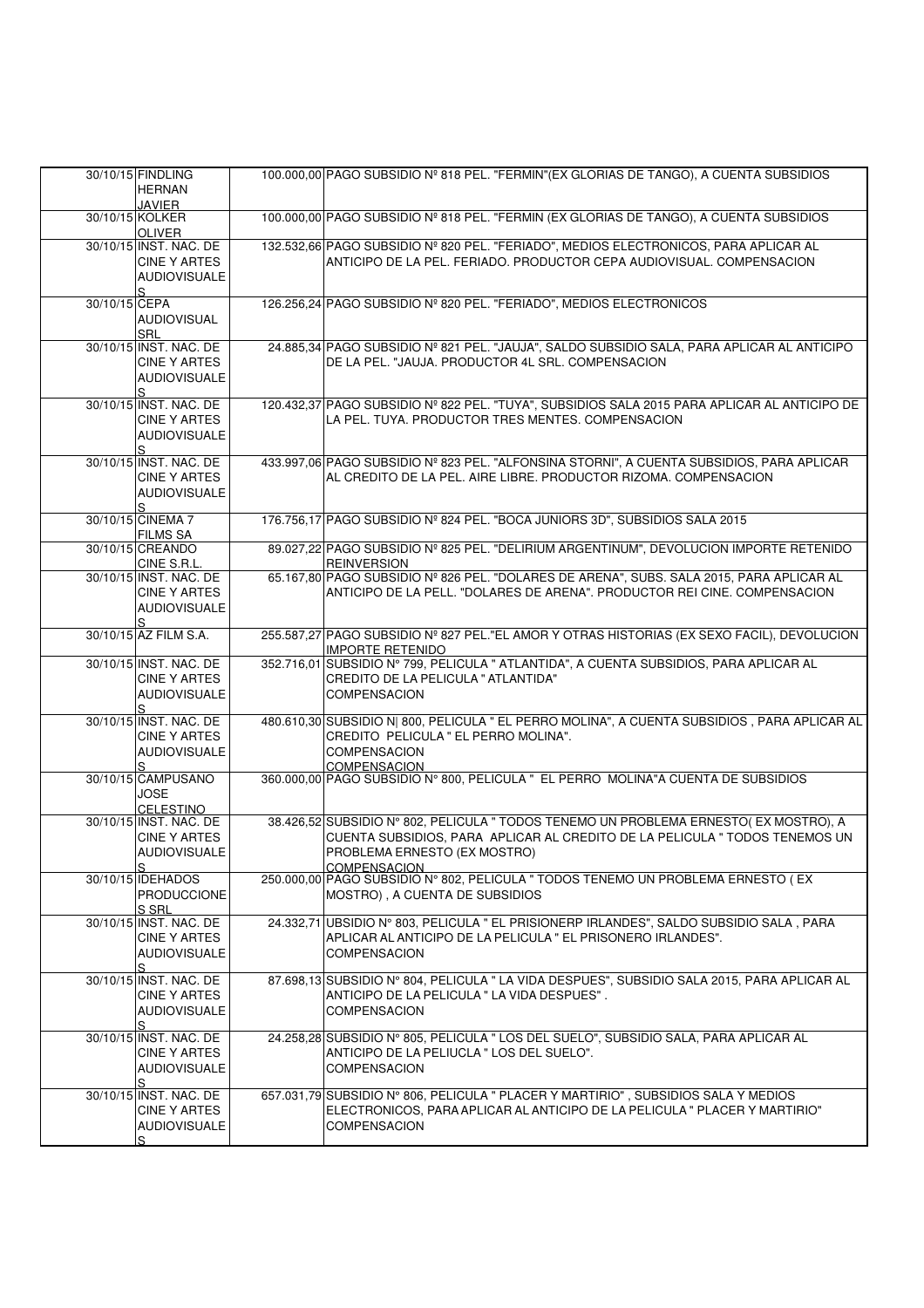|               | 30/10/15 FINDLING<br><b>HERNAN</b>                                                       | 100.000,00 PAGO SUBSIDIO Nº 818 PEL. "FERMIN" (EX GLORIAS DE TANGO), A CUENTA SUBSIDIOS                                                                                                              |
|---------------|------------------------------------------------------------------------------------------|------------------------------------------------------------------------------------------------------------------------------------------------------------------------------------------------------|
|               | <b>JAVIER</b><br>30/10/15 KOLKER<br><b>OLIVER</b>                                        | 100.000,00 PAGO SUBSIDIO Nº 818 PEL. "FERMIN (EX GLORIAS DE TANGO), A CUENTA SUBSIDIOS                                                                                                               |
|               | 30/10/15 INST. NAC. DE<br><b>CINE Y ARTES</b><br><b>AUDIOVISUALE</b><br>S                | 132.532,66 PAGO SUBSIDIO Nº 820 PEL. "FERIADO", MEDIOS ELECTRONICOS, PARA APLICAR AL<br>ANTICIPO DE LA PEL. FERIADO. PRODUCTOR CEPA AUDIOVISUAL. COMPENSACION                                        |
| 30/10/15 CEPA | AUDIOVISUAL<br><b>SRL</b>                                                                | 126.256,24 PAGO SUBSIDIO Nº 820 PEL. "FERIADO", MEDIOS ELECTRONICOS                                                                                                                                  |
|               | 30/10/15 INST. NAC. DE<br><b>CINE Y ARTES</b><br><b>AUDIOVISUALE</b><br>S.               | 24.885,34 PAGO SUBSIDIO Nº 821 PEL. "JAUJA", SALDO SUBSIDIO SALA, PARA APLICAR AL ANTICIPO<br>DE LA PEL. "JAUJA. PRODUCTOR 4L SRL. COMPENSACION                                                      |
|               | 30/10/15 INST. NAC. DE<br><b>CINE Y ARTES</b><br><b>AUDIOVISUALE</b><br>$\mathcal{S}$    | 120.432,37 PAGO SUBSIDIO Nº 822 PEL. "TUYA", SUBSIDIOS SALA 2015 PARA APLICAR AL ANTICIPO DE<br>LA PEL. TUYA. PRODUCTOR TRES MENTES. COMPENSACION                                                    |
|               | 30/10/15 INST. NAC. DE<br><b>CINE Y ARTES</b><br><b>AUDIOVISUALE</b><br>$\mathcal{S}$    | 433.997,06 PAGO SUBSIDIO Nº 823 PEL. "ALFONSINA STORNI", A CUENTA SUBSIDIOS, PARA APLICAR<br>AL CREDITO DE LA PEL. AIRE LIBRE. PRODUCTOR RIZOMA. COMPENSACION                                        |
|               | 30/10/15 CINEMA 7<br><b>FILMS SA</b>                                                     | 176.756,17 PAGO SUBSIDIO Nº 824 PEL. "BOCA JUNIORS 3D", SUBSIDIOS SALA 2015                                                                                                                          |
|               | 30/10/15 CREANDO<br>CINE S.R.L.                                                          | 89.027,22 PAGO SUBSIDIO Nº 825 PEL. "DELIRIUM ARGENTINUM", DEVOLUCION IMPORTE RETENIDO<br><b>REINVERSION</b>                                                                                         |
|               | 30/10/15 INST. NAC. DE<br><b>CINE Y ARTES</b><br><b>AUDIOVISUALE</b><br>S                | 65.167,80 PAGO SUBSIDIO Nº 826 PEL. "DOLARES DE ARENA", SUBS. SALA 2015, PARA APLICAR AL<br>ANTICIPO DE LA PELL. "DOLARES DE ARENA". PRODUCTOR REI CINE. COMPENSACION                                |
|               | 30/10/15 AZ FILM S.A.                                                                    | 255.587,27 PAGO SUBSIDIO Nº 827 PEL."EL AMOR Y OTRAS HISTORIAS (EX SEXO FACIL), DEVOLUCION<br><b>IMPORTE RETENIDO</b>                                                                                |
|               | 30/10/15 INST. NAC. DE                                                                   | 352.716,01 SUBSIDIO Nº 799, PELICULA " ATLANTIDA", A CUENTA SUBSIDIOS, PARA APLICAR AL                                                                                                               |
|               | <b>CINE Y ARTES</b><br><b>AUDIOVISUALE</b>                                               | CREDITO DE LA PELICULA " ATLANTIDA"<br><b>COMPENSACION</b>                                                                                                                                           |
|               | S<br>30/10/15 INST. NAC. DE<br><b>CINE Y ARTES</b><br><b>AUDIOVISUALE</b>                | 480.610,30 SUBSIDIO N  800, PELICULA " EL PERRO MOLINA", A CUENTA SUBSIDIOS, PARA APLICAR AL<br>CREDITO PELICULA " EL PERRO MOLINA".<br><b>COMPENSACION</b>                                          |
|               | S<br>30/10/15 CAMPUSANO<br><b>JOSE</b>                                                   | COMPENSACION<br>360.000,00 PAGO SUBSIDIO N° 800, PELICULA " EL PERRO MOLINA"A CUENTA DE SUBSIDIOS                                                                                                    |
|               | <b>CELESTINO</b><br>30/10/15 INST. NAC. DE<br><b>CINE Y ARTES</b><br><b>AUDIOVISUALE</b> | 38.426,52 SUBSIDIO Nº 802, PELICULA " TODOS TENEMO UN PROBLEMA ERNESTO( EX MOSTRO), A<br>CUENTA SUBSIDIOS, PARA APLICAR AL CREDITO DE LA PELICULA " TODOS TENEMOS UN<br>PROBLEMA ERNESTO (EX MOSTRO) |
|               | S<br>30/10/15 IDEHADOS<br><b>PRODUCCIONE</b><br>S SRL                                    | <b>COMPENSACION</b><br>250.000,00 PAGO SUBSIDIO Nº 802, PELICULA " TODOS TENEMO UN PROBLEMA ERNESTO (EX<br>MOSTRO), A CUENTA DE SUBSIDIOS                                                            |
|               | 30/10/15 INST. NAC. DE<br>CINE Y ARTES<br>AUDIOVISUALE                                   | 24.332,71  UBSIDIO Nº 803, PELICULA " EL PRISIONERP IRLANDES", SALDO SUBSIDIO SALA, PARA<br>APLICAR AL ANTICIPO DE LA PELICULA " EL PRISONERO IRLANDES".<br><b>COMPENSACION</b>                      |
|               | S<br>30/10/15 INST. NAC. DE<br>CINE Y ARTES<br>AUDIOVISUALE<br>S                         | 87.698,13 SUBSIDIO N° 804, PELICULA " LA VIDA DESPUES", SUBSIDIO SALA 2015, PARA APLICAR AL<br>ANTICIPO DE LA PELICULA " LA VIDA DESPUES".<br><b>COMPENSACION</b>                                    |
|               | 30/10/15 INST. NAC. DE<br><b>CINE Y ARTES</b><br><b>AUDIOVISUALE</b><br>S                | 24.258,28 SUBSIDIO N° 805, PELICULA " LOS DEL SUELO", SUBSIDIO SALA, PARA APLICAR AL<br>ANTICIPO DE LA PELIUCLA " LOS DEL SUELO".<br><b>COMPENSACION</b>                                             |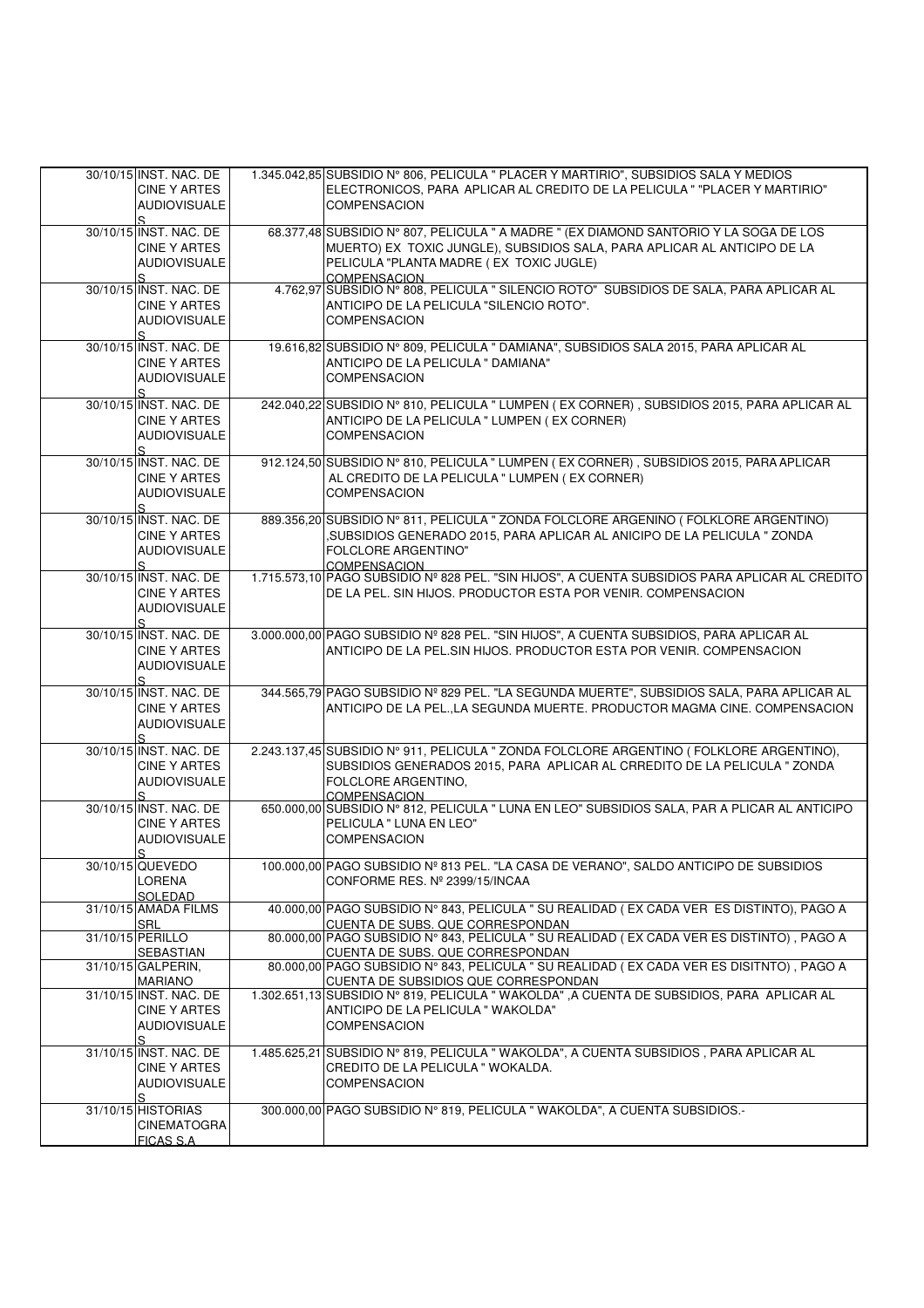| ELECTRONICOS, PARA APLICAR AL CREDITO DE LA PELICULA " "PLACER Y MARTIRIO"<br><b>CINE Y ARTES</b><br><b>AUDIOVISUALE</b><br><b>COMPENSACION</b><br>S.<br>68.377,48 SUBSIDIO N° 807, PELICULA " A MADRE " (EX DIAMOND SANTORIO Y LA SOGA DE LOS<br>30/10/15 INST. NAC. DE<br>MUERTO) EX TOXIC JUNGLE), SUBSIDIOS SALA, PARA APLICAR AL ANTICIPO DE LA<br>CINE Y ARTES<br>PELICULA "PLANTA MADRE (EX TOXIC JUGLE)<br><b>AUDIOVISUALE</b><br>S.<br>COMPENSACION<br>4.762,97 SUBSIDIO Nº 808, PELICULA " SILENCIO ROTO" SUBSIDIOS DE SALA, PARA APLICAR AL<br>30/10/15 INST. NAC. DE<br>ANTICIPO DE LA PELICULA "SILENCIO ROTO".<br><b>CINE Y ARTES</b><br><b>COMPENSACION</b><br><b>AUDIOVISUALE</b><br>S<br>30/10/15 INST. NAC. DE<br>19.616,82 SUBSIDIO N° 809, PELICULA " DAMIANA", SUBSIDIOS SALA 2015, PARA APLICAR AL<br>ANTICIPO DE LA PELICULA " DAMIANA"<br><b>CINE Y ARTES</b><br><b>COMPENSACION</b><br><b>AUDIOVISUALE</b><br>S.<br>242.040,22 SUBSIDIO Nº 810, PELICULA " LUMPEN (EX CORNER), SUBSIDIOS 2015, PARA APLICAR AL<br>30/10/15 INST. NAC. DE<br>ANTICIPO DE LA PELICULA " LUMPEN (EX CORNER)<br>CINE Y ARTES<br><b>COMPENSACION</b><br><b>AUDIOVISUALE</b><br>$S_{\cdot}$<br>912.124,50 SUBSIDIO N° 810, PELICULA " LUMPEN (EX CORNER), SUBSIDIOS 2015, PARA APLICAR<br>30/10/15 INST. NAC. DE<br>AL CREDITO DE LA PELICULA " LUMPEN (EX CORNER)<br><b>CINE Y ARTES</b><br><b>AUDIOVISUALE</b><br><b>COMPENSACION</b><br>S<br>889.356,20 SUBSIDIO Nº 811, PELICULA " ZONDA FOLCLORE ARGENINO ( FOLKLORE ARGENTINO)<br>30/10/15 INST, NAC, DE<br>SUBSIDIOS GENERADO 2015, PARA APLICAR AL ANICIPO DE LA PELICULA " ZONDA,<br><b>CINE Y ARTES</b><br><b>AUDIOVISUALE</b><br><b>FOLCLORE ARGENTINO"</b><br>S.<br><b>COMPENSACION</b><br>1.715.573,10 PAGO SUBSIDIO Nº 828 PEL. "SIN HIJOS", A CUENTA SUBSIDIOS PARA APLICAR AL CREDITO<br>30/10/15 INST. NAC. DE<br>DE LA PEL. SIN HIJOS. PRODUCTOR ESTA POR VENIR. COMPENSACION<br>CINE Y ARTES<br><b>AUDIOVISUALE</b><br>S.<br>30/10/15 INST. NAC. DE<br>3.000.000,00 PAGO SUBSIDIO Nº 828 PEL. "SIN HIJOS", A CUENTA SUBSIDIOS, PARA APLICAR AL<br>ANTICIPO DE LA PEL.SIN HIJOS. PRODUCTOR ESTA POR VENIR. COMPENSACION<br>CINE Y ARTES<br><b>AUDIOVISUALE</b><br>S.<br>344.565,79 PAGO SUBSIDIO Nº 829 PEL. "LA SEGUNDA MUERTE", SUBSIDIOS SALA, PARA APLICAR AL<br>30/10/15 INST. NAC. DE<br>ANTICIPO DE LA PEL., LA SEGUNDA MUERTE. PRODUCTOR MAGMA CINE. COMPENSACION<br><b>CINE Y ARTES</b><br><b>AUDIOVISUALE</b><br>$\mathbf{S}$<br>2.243.137,45 SUBSIDIO Nº 911, PELICULA " ZONDA FOLCLORE ARGENTINO ( FOLKLORE ARGENTINO),<br>30/10/15 INST. NAC. DE<br>SUBSIDIOS GENERADOS 2015, PARA APLICAR AL CRREDITO DE LA PELICULA " ZONDA<br><b>CINE Y ARTES</b><br>FOLCLORE ARGENTINO.<br><b>AUDIOVISUALE</b><br>S.<br><b>COMPENSACION</b><br>650.000,00 SUBSIDIO Nº 812, PELICULA " LUNA EN LEO" SUBSIDIOS SALA, PAR A PLICAR AL ANTICIPO<br>30/10/15 INST. NAC. DE<br>CINE Y ARTES<br>PELICULA " LUNA EN LEO"<br><b>COMPENSACION</b><br><b>AUDIOVISUALE</b><br>S<br>30/10/15 QUEVEDO<br>100.000,00 PAGO SUBSIDIO Nº 813 PEL. "LA CASA DE VERANO", SALDO ANTICIPO DE SUBSIDIOS<br>LORENA<br>CONFORME RES. Nº 2399/15/INCAA<br>SOLEDAD<br>40.000,00 PAGO SUBSIDIO Nº 843, PELICULA " SU REALIDAD (EX CADA VER ES DISTINTO), PAGO A<br>31/10/15 AMADA FILMS<br><b>SRL</b><br>CUENTA DE SUBS. QUE CORRESPONDAN<br>80.000,00 PAGO SUBSIDIO Nº 843, PELICULA " SU REALIDAD (EX CADA VER ES DISTINTO), PAGO A<br>31/10/15 PERILLO<br><b>SEBASTIAN</b><br>CUENTA DE SUBS. QUE CORRESPONDAN<br>80.000,00 PAGO SUBSIDIO Nº 843, PELICULA " SU REALIDAD (EX CADA VER ES DISITNTO), PAGO A<br>31/10/15 GALPERIN,<br><b>MARIANO</b><br>CUENTA DE SUBSIDIOS QUE CORRESPONDAN<br>1.302.651,13 SUBSIDIO Nº 819, PELICULA "WAKOLDA", A CUENTA DE SUBSIDIOS, PARA APLICAR AL<br>31/10/15 INST. NAC. DE<br><b>CINE Y ARTES</b><br>ANTICIPO DE LA PELICULA "WAKOLDA"<br><b>AUDIOVISUALE</b><br><b>COMPENSACION</b><br>S<br>31/10/15 INST. NAC. DE<br>1.485.625,21 SUBSIDIO Nº 819, PELICULA "WAKOLDA", A CUENTA SUBSIDIOS, PARA APLICAR AL<br><b>CINE Y ARTES</b><br>CREDITO DE LA PELICULA "WOKALDA.<br><b>AUDIOVISUALE</b><br><b>COMPENSACION</b><br>S<br>31/10/15 HISTORIAS<br>300.000,00 PAGO SUBSIDIO N° 819, PELICULA "WAKOLDA", A CUENTA SUBSIDIOS.-<br><b>CINEMATOGRA</b><br><b>FICAS S.A.</b> | 30/10/15 INST. NAC. DE | 1.345.042,85 SUBSIDIO N° 806, PELICULA " PLACER Y MARTIRIO", SUBSIDIOS SALA Y MEDIOS |
|-------------------------------------------------------------------------------------------------------------------------------------------------------------------------------------------------------------------------------------------------------------------------------------------------------------------------------------------------------------------------------------------------------------------------------------------------------------------------------------------------------------------------------------------------------------------------------------------------------------------------------------------------------------------------------------------------------------------------------------------------------------------------------------------------------------------------------------------------------------------------------------------------------------------------------------------------------------------------------------------------------------------------------------------------------------------------------------------------------------------------------------------------------------------------------------------------------------------------------------------------------------------------------------------------------------------------------------------------------------------------------------------------------------------------------------------------------------------------------------------------------------------------------------------------------------------------------------------------------------------------------------------------------------------------------------------------------------------------------------------------------------------------------------------------------------------------------------------------------------------------------------------------------------------------------------------------------------------------------------------------------------------------------------------------------------------------------------------------------------------------------------------------------------------------------------------------------------------------------------------------------------------------------------------------------------------------------------------------------------------------------------------------------------------------------------------------------------------------------------------------------------------------------------------------------------------------------------------------------------------------------------------------------------------------------------------------------------------------------------------------------------------------------------------------------------------------------------------------------------------------------------------------------------------------------------------------------------------------------------------------------------------------------------------------------------------------------------------------------------------------------------------------------------------------------------------------------------------------------------------------------------------------------------------------------------------------------------------------------------------------------------------------------------------------------------------------------------------------------------------------------------------------------------------------------------------------------------------------------------------------------------------------------------------------------------------------------------------------------------------------------------------------------------------------------------------------------------------------------------------------------------------------------------------------------------------------------------------------------------------------------------------------------------------------------------------------------------------------------------------------------------------------------------------------------------------------------------------------------------------------------------------------------------------------------------------------------------------------------------|------------------------|--------------------------------------------------------------------------------------|
|                                                                                                                                                                                                                                                                                                                                                                                                                                                                                                                                                                                                                                                                                                                                                                                                                                                                                                                                                                                                                                                                                                                                                                                                                                                                                                                                                                                                                                                                                                                                                                                                                                                                                                                                                                                                                                                                                                                                                                                                                                                                                                                                                                                                                                                                                                                                                                                                                                                                                                                                                                                                                                                                                                                                                                                                                                                                                                                                                                                                                                                                                                                                                                                                                                                                                                                                                                                                                                                                                                                                                                                                                                                                                                                                                                                                                                                                                                                                                                                                                                                                                                                                                                                                                                                                                                                                                             |                        |                                                                                      |
|                                                                                                                                                                                                                                                                                                                                                                                                                                                                                                                                                                                                                                                                                                                                                                                                                                                                                                                                                                                                                                                                                                                                                                                                                                                                                                                                                                                                                                                                                                                                                                                                                                                                                                                                                                                                                                                                                                                                                                                                                                                                                                                                                                                                                                                                                                                                                                                                                                                                                                                                                                                                                                                                                                                                                                                                                                                                                                                                                                                                                                                                                                                                                                                                                                                                                                                                                                                                                                                                                                                                                                                                                                                                                                                                                                                                                                                                                                                                                                                                                                                                                                                                                                                                                                                                                                                                                             |                        |                                                                                      |
|                                                                                                                                                                                                                                                                                                                                                                                                                                                                                                                                                                                                                                                                                                                                                                                                                                                                                                                                                                                                                                                                                                                                                                                                                                                                                                                                                                                                                                                                                                                                                                                                                                                                                                                                                                                                                                                                                                                                                                                                                                                                                                                                                                                                                                                                                                                                                                                                                                                                                                                                                                                                                                                                                                                                                                                                                                                                                                                                                                                                                                                                                                                                                                                                                                                                                                                                                                                                                                                                                                                                                                                                                                                                                                                                                                                                                                                                                                                                                                                                                                                                                                                                                                                                                                                                                                                                                             |                        |                                                                                      |
|                                                                                                                                                                                                                                                                                                                                                                                                                                                                                                                                                                                                                                                                                                                                                                                                                                                                                                                                                                                                                                                                                                                                                                                                                                                                                                                                                                                                                                                                                                                                                                                                                                                                                                                                                                                                                                                                                                                                                                                                                                                                                                                                                                                                                                                                                                                                                                                                                                                                                                                                                                                                                                                                                                                                                                                                                                                                                                                                                                                                                                                                                                                                                                                                                                                                                                                                                                                                                                                                                                                                                                                                                                                                                                                                                                                                                                                                                                                                                                                                                                                                                                                                                                                                                                                                                                                                                             |                        |                                                                                      |
|                                                                                                                                                                                                                                                                                                                                                                                                                                                                                                                                                                                                                                                                                                                                                                                                                                                                                                                                                                                                                                                                                                                                                                                                                                                                                                                                                                                                                                                                                                                                                                                                                                                                                                                                                                                                                                                                                                                                                                                                                                                                                                                                                                                                                                                                                                                                                                                                                                                                                                                                                                                                                                                                                                                                                                                                                                                                                                                                                                                                                                                                                                                                                                                                                                                                                                                                                                                                                                                                                                                                                                                                                                                                                                                                                                                                                                                                                                                                                                                                                                                                                                                                                                                                                                                                                                                                                             |                        |                                                                                      |
|                                                                                                                                                                                                                                                                                                                                                                                                                                                                                                                                                                                                                                                                                                                                                                                                                                                                                                                                                                                                                                                                                                                                                                                                                                                                                                                                                                                                                                                                                                                                                                                                                                                                                                                                                                                                                                                                                                                                                                                                                                                                                                                                                                                                                                                                                                                                                                                                                                                                                                                                                                                                                                                                                                                                                                                                                                                                                                                                                                                                                                                                                                                                                                                                                                                                                                                                                                                                                                                                                                                                                                                                                                                                                                                                                                                                                                                                                                                                                                                                                                                                                                                                                                                                                                                                                                                                                             |                        |                                                                                      |
|                                                                                                                                                                                                                                                                                                                                                                                                                                                                                                                                                                                                                                                                                                                                                                                                                                                                                                                                                                                                                                                                                                                                                                                                                                                                                                                                                                                                                                                                                                                                                                                                                                                                                                                                                                                                                                                                                                                                                                                                                                                                                                                                                                                                                                                                                                                                                                                                                                                                                                                                                                                                                                                                                                                                                                                                                                                                                                                                                                                                                                                                                                                                                                                                                                                                                                                                                                                                                                                                                                                                                                                                                                                                                                                                                                                                                                                                                                                                                                                                                                                                                                                                                                                                                                                                                                                                                             |                        |                                                                                      |
|                                                                                                                                                                                                                                                                                                                                                                                                                                                                                                                                                                                                                                                                                                                                                                                                                                                                                                                                                                                                                                                                                                                                                                                                                                                                                                                                                                                                                                                                                                                                                                                                                                                                                                                                                                                                                                                                                                                                                                                                                                                                                                                                                                                                                                                                                                                                                                                                                                                                                                                                                                                                                                                                                                                                                                                                                                                                                                                                                                                                                                                                                                                                                                                                                                                                                                                                                                                                                                                                                                                                                                                                                                                                                                                                                                                                                                                                                                                                                                                                                                                                                                                                                                                                                                                                                                                                                             |                        |                                                                                      |
|                                                                                                                                                                                                                                                                                                                                                                                                                                                                                                                                                                                                                                                                                                                                                                                                                                                                                                                                                                                                                                                                                                                                                                                                                                                                                                                                                                                                                                                                                                                                                                                                                                                                                                                                                                                                                                                                                                                                                                                                                                                                                                                                                                                                                                                                                                                                                                                                                                                                                                                                                                                                                                                                                                                                                                                                                                                                                                                                                                                                                                                                                                                                                                                                                                                                                                                                                                                                                                                                                                                                                                                                                                                                                                                                                                                                                                                                                                                                                                                                                                                                                                                                                                                                                                                                                                                                                             |                        |                                                                                      |
|                                                                                                                                                                                                                                                                                                                                                                                                                                                                                                                                                                                                                                                                                                                                                                                                                                                                                                                                                                                                                                                                                                                                                                                                                                                                                                                                                                                                                                                                                                                                                                                                                                                                                                                                                                                                                                                                                                                                                                                                                                                                                                                                                                                                                                                                                                                                                                                                                                                                                                                                                                                                                                                                                                                                                                                                                                                                                                                                                                                                                                                                                                                                                                                                                                                                                                                                                                                                                                                                                                                                                                                                                                                                                                                                                                                                                                                                                                                                                                                                                                                                                                                                                                                                                                                                                                                                                             |                        |                                                                                      |
|                                                                                                                                                                                                                                                                                                                                                                                                                                                                                                                                                                                                                                                                                                                                                                                                                                                                                                                                                                                                                                                                                                                                                                                                                                                                                                                                                                                                                                                                                                                                                                                                                                                                                                                                                                                                                                                                                                                                                                                                                                                                                                                                                                                                                                                                                                                                                                                                                                                                                                                                                                                                                                                                                                                                                                                                                                                                                                                                                                                                                                                                                                                                                                                                                                                                                                                                                                                                                                                                                                                                                                                                                                                                                                                                                                                                                                                                                                                                                                                                                                                                                                                                                                                                                                                                                                                                                             |                        |                                                                                      |
|                                                                                                                                                                                                                                                                                                                                                                                                                                                                                                                                                                                                                                                                                                                                                                                                                                                                                                                                                                                                                                                                                                                                                                                                                                                                                                                                                                                                                                                                                                                                                                                                                                                                                                                                                                                                                                                                                                                                                                                                                                                                                                                                                                                                                                                                                                                                                                                                                                                                                                                                                                                                                                                                                                                                                                                                                                                                                                                                                                                                                                                                                                                                                                                                                                                                                                                                                                                                                                                                                                                                                                                                                                                                                                                                                                                                                                                                                                                                                                                                                                                                                                                                                                                                                                                                                                                                                             |                        |                                                                                      |
|                                                                                                                                                                                                                                                                                                                                                                                                                                                                                                                                                                                                                                                                                                                                                                                                                                                                                                                                                                                                                                                                                                                                                                                                                                                                                                                                                                                                                                                                                                                                                                                                                                                                                                                                                                                                                                                                                                                                                                                                                                                                                                                                                                                                                                                                                                                                                                                                                                                                                                                                                                                                                                                                                                                                                                                                                                                                                                                                                                                                                                                                                                                                                                                                                                                                                                                                                                                                                                                                                                                                                                                                                                                                                                                                                                                                                                                                                                                                                                                                                                                                                                                                                                                                                                                                                                                                                             |                        |                                                                                      |
|                                                                                                                                                                                                                                                                                                                                                                                                                                                                                                                                                                                                                                                                                                                                                                                                                                                                                                                                                                                                                                                                                                                                                                                                                                                                                                                                                                                                                                                                                                                                                                                                                                                                                                                                                                                                                                                                                                                                                                                                                                                                                                                                                                                                                                                                                                                                                                                                                                                                                                                                                                                                                                                                                                                                                                                                                                                                                                                                                                                                                                                                                                                                                                                                                                                                                                                                                                                                                                                                                                                                                                                                                                                                                                                                                                                                                                                                                                                                                                                                                                                                                                                                                                                                                                                                                                                                                             |                        |                                                                                      |
|                                                                                                                                                                                                                                                                                                                                                                                                                                                                                                                                                                                                                                                                                                                                                                                                                                                                                                                                                                                                                                                                                                                                                                                                                                                                                                                                                                                                                                                                                                                                                                                                                                                                                                                                                                                                                                                                                                                                                                                                                                                                                                                                                                                                                                                                                                                                                                                                                                                                                                                                                                                                                                                                                                                                                                                                                                                                                                                                                                                                                                                                                                                                                                                                                                                                                                                                                                                                                                                                                                                                                                                                                                                                                                                                                                                                                                                                                                                                                                                                                                                                                                                                                                                                                                                                                                                                                             |                        |                                                                                      |
|                                                                                                                                                                                                                                                                                                                                                                                                                                                                                                                                                                                                                                                                                                                                                                                                                                                                                                                                                                                                                                                                                                                                                                                                                                                                                                                                                                                                                                                                                                                                                                                                                                                                                                                                                                                                                                                                                                                                                                                                                                                                                                                                                                                                                                                                                                                                                                                                                                                                                                                                                                                                                                                                                                                                                                                                                                                                                                                                                                                                                                                                                                                                                                                                                                                                                                                                                                                                                                                                                                                                                                                                                                                                                                                                                                                                                                                                                                                                                                                                                                                                                                                                                                                                                                                                                                                                                             |                        |                                                                                      |
|                                                                                                                                                                                                                                                                                                                                                                                                                                                                                                                                                                                                                                                                                                                                                                                                                                                                                                                                                                                                                                                                                                                                                                                                                                                                                                                                                                                                                                                                                                                                                                                                                                                                                                                                                                                                                                                                                                                                                                                                                                                                                                                                                                                                                                                                                                                                                                                                                                                                                                                                                                                                                                                                                                                                                                                                                                                                                                                                                                                                                                                                                                                                                                                                                                                                                                                                                                                                                                                                                                                                                                                                                                                                                                                                                                                                                                                                                                                                                                                                                                                                                                                                                                                                                                                                                                                                                             |                        |                                                                                      |
|                                                                                                                                                                                                                                                                                                                                                                                                                                                                                                                                                                                                                                                                                                                                                                                                                                                                                                                                                                                                                                                                                                                                                                                                                                                                                                                                                                                                                                                                                                                                                                                                                                                                                                                                                                                                                                                                                                                                                                                                                                                                                                                                                                                                                                                                                                                                                                                                                                                                                                                                                                                                                                                                                                                                                                                                                                                                                                                                                                                                                                                                                                                                                                                                                                                                                                                                                                                                                                                                                                                                                                                                                                                                                                                                                                                                                                                                                                                                                                                                                                                                                                                                                                                                                                                                                                                                                             |                        |                                                                                      |
|                                                                                                                                                                                                                                                                                                                                                                                                                                                                                                                                                                                                                                                                                                                                                                                                                                                                                                                                                                                                                                                                                                                                                                                                                                                                                                                                                                                                                                                                                                                                                                                                                                                                                                                                                                                                                                                                                                                                                                                                                                                                                                                                                                                                                                                                                                                                                                                                                                                                                                                                                                                                                                                                                                                                                                                                                                                                                                                                                                                                                                                                                                                                                                                                                                                                                                                                                                                                                                                                                                                                                                                                                                                                                                                                                                                                                                                                                                                                                                                                                                                                                                                                                                                                                                                                                                                                                             |                        |                                                                                      |
|                                                                                                                                                                                                                                                                                                                                                                                                                                                                                                                                                                                                                                                                                                                                                                                                                                                                                                                                                                                                                                                                                                                                                                                                                                                                                                                                                                                                                                                                                                                                                                                                                                                                                                                                                                                                                                                                                                                                                                                                                                                                                                                                                                                                                                                                                                                                                                                                                                                                                                                                                                                                                                                                                                                                                                                                                                                                                                                                                                                                                                                                                                                                                                                                                                                                                                                                                                                                                                                                                                                                                                                                                                                                                                                                                                                                                                                                                                                                                                                                                                                                                                                                                                                                                                                                                                                                                             |                        |                                                                                      |
|                                                                                                                                                                                                                                                                                                                                                                                                                                                                                                                                                                                                                                                                                                                                                                                                                                                                                                                                                                                                                                                                                                                                                                                                                                                                                                                                                                                                                                                                                                                                                                                                                                                                                                                                                                                                                                                                                                                                                                                                                                                                                                                                                                                                                                                                                                                                                                                                                                                                                                                                                                                                                                                                                                                                                                                                                                                                                                                                                                                                                                                                                                                                                                                                                                                                                                                                                                                                                                                                                                                                                                                                                                                                                                                                                                                                                                                                                                                                                                                                                                                                                                                                                                                                                                                                                                                                                             |                        |                                                                                      |
|                                                                                                                                                                                                                                                                                                                                                                                                                                                                                                                                                                                                                                                                                                                                                                                                                                                                                                                                                                                                                                                                                                                                                                                                                                                                                                                                                                                                                                                                                                                                                                                                                                                                                                                                                                                                                                                                                                                                                                                                                                                                                                                                                                                                                                                                                                                                                                                                                                                                                                                                                                                                                                                                                                                                                                                                                                                                                                                                                                                                                                                                                                                                                                                                                                                                                                                                                                                                                                                                                                                                                                                                                                                                                                                                                                                                                                                                                                                                                                                                                                                                                                                                                                                                                                                                                                                                                             |                        |                                                                                      |
|                                                                                                                                                                                                                                                                                                                                                                                                                                                                                                                                                                                                                                                                                                                                                                                                                                                                                                                                                                                                                                                                                                                                                                                                                                                                                                                                                                                                                                                                                                                                                                                                                                                                                                                                                                                                                                                                                                                                                                                                                                                                                                                                                                                                                                                                                                                                                                                                                                                                                                                                                                                                                                                                                                                                                                                                                                                                                                                                                                                                                                                                                                                                                                                                                                                                                                                                                                                                                                                                                                                                                                                                                                                                                                                                                                                                                                                                                                                                                                                                                                                                                                                                                                                                                                                                                                                                                             |                        |                                                                                      |
|                                                                                                                                                                                                                                                                                                                                                                                                                                                                                                                                                                                                                                                                                                                                                                                                                                                                                                                                                                                                                                                                                                                                                                                                                                                                                                                                                                                                                                                                                                                                                                                                                                                                                                                                                                                                                                                                                                                                                                                                                                                                                                                                                                                                                                                                                                                                                                                                                                                                                                                                                                                                                                                                                                                                                                                                                                                                                                                                                                                                                                                                                                                                                                                                                                                                                                                                                                                                                                                                                                                                                                                                                                                                                                                                                                                                                                                                                                                                                                                                                                                                                                                                                                                                                                                                                                                                                             |                        |                                                                                      |
|                                                                                                                                                                                                                                                                                                                                                                                                                                                                                                                                                                                                                                                                                                                                                                                                                                                                                                                                                                                                                                                                                                                                                                                                                                                                                                                                                                                                                                                                                                                                                                                                                                                                                                                                                                                                                                                                                                                                                                                                                                                                                                                                                                                                                                                                                                                                                                                                                                                                                                                                                                                                                                                                                                                                                                                                                                                                                                                                                                                                                                                                                                                                                                                                                                                                                                                                                                                                                                                                                                                                                                                                                                                                                                                                                                                                                                                                                                                                                                                                                                                                                                                                                                                                                                                                                                                                                             |                        |                                                                                      |
|                                                                                                                                                                                                                                                                                                                                                                                                                                                                                                                                                                                                                                                                                                                                                                                                                                                                                                                                                                                                                                                                                                                                                                                                                                                                                                                                                                                                                                                                                                                                                                                                                                                                                                                                                                                                                                                                                                                                                                                                                                                                                                                                                                                                                                                                                                                                                                                                                                                                                                                                                                                                                                                                                                                                                                                                                                                                                                                                                                                                                                                                                                                                                                                                                                                                                                                                                                                                                                                                                                                                                                                                                                                                                                                                                                                                                                                                                                                                                                                                                                                                                                                                                                                                                                                                                                                                                             |                        |                                                                                      |
|                                                                                                                                                                                                                                                                                                                                                                                                                                                                                                                                                                                                                                                                                                                                                                                                                                                                                                                                                                                                                                                                                                                                                                                                                                                                                                                                                                                                                                                                                                                                                                                                                                                                                                                                                                                                                                                                                                                                                                                                                                                                                                                                                                                                                                                                                                                                                                                                                                                                                                                                                                                                                                                                                                                                                                                                                                                                                                                                                                                                                                                                                                                                                                                                                                                                                                                                                                                                                                                                                                                                                                                                                                                                                                                                                                                                                                                                                                                                                                                                                                                                                                                                                                                                                                                                                                                                                             |                        |                                                                                      |
|                                                                                                                                                                                                                                                                                                                                                                                                                                                                                                                                                                                                                                                                                                                                                                                                                                                                                                                                                                                                                                                                                                                                                                                                                                                                                                                                                                                                                                                                                                                                                                                                                                                                                                                                                                                                                                                                                                                                                                                                                                                                                                                                                                                                                                                                                                                                                                                                                                                                                                                                                                                                                                                                                                                                                                                                                                                                                                                                                                                                                                                                                                                                                                                                                                                                                                                                                                                                                                                                                                                                                                                                                                                                                                                                                                                                                                                                                                                                                                                                                                                                                                                                                                                                                                                                                                                                                             |                        |                                                                                      |
|                                                                                                                                                                                                                                                                                                                                                                                                                                                                                                                                                                                                                                                                                                                                                                                                                                                                                                                                                                                                                                                                                                                                                                                                                                                                                                                                                                                                                                                                                                                                                                                                                                                                                                                                                                                                                                                                                                                                                                                                                                                                                                                                                                                                                                                                                                                                                                                                                                                                                                                                                                                                                                                                                                                                                                                                                                                                                                                                                                                                                                                                                                                                                                                                                                                                                                                                                                                                                                                                                                                                                                                                                                                                                                                                                                                                                                                                                                                                                                                                                                                                                                                                                                                                                                                                                                                                                             |                        |                                                                                      |
|                                                                                                                                                                                                                                                                                                                                                                                                                                                                                                                                                                                                                                                                                                                                                                                                                                                                                                                                                                                                                                                                                                                                                                                                                                                                                                                                                                                                                                                                                                                                                                                                                                                                                                                                                                                                                                                                                                                                                                                                                                                                                                                                                                                                                                                                                                                                                                                                                                                                                                                                                                                                                                                                                                                                                                                                                                                                                                                                                                                                                                                                                                                                                                                                                                                                                                                                                                                                                                                                                                                                                                                                                                                                                                                                                                                                                                                                                                                                                                                                                                                                                                                                                                                                                                                                                                                                                             |                        |                                                                                      |
|                                                                                                                                                                                                                                                                                                                                                                                                                                                                                                                                                                                                                                                                                                                                                                                                                                                                                                                                                                                                                                                                                                                                                                                                                                                                                                                                                                                                                                                                                                                                                                                                                                                                                                                                                                                                                                                                                                                                                                                                                                                                                                                                                                                                                                                                                                                                                                                                                                                                                                                                                                                                                                                                                                                                                                                                                                                                                                                                                                                                                                                                                                                                                                                                                                                                                                                                                                                                                                                                                                                                                                                                                                                                                                                                                                                                                                                                                                                                                                                                                                                                                                                                                                                                                                                                                                                                                             |                        |                                                                                      |
|                                                                                                                                                                                                                                                                                                                                                                                                                                                                                                                                                                                                                                                                                                                                                                                                                                                                                                                                                                                                                                                                                                                                                                                                                                                                                                                                                                                                                                                                                                                                                                                                                                                                                                                                                                                                                                                                                                                                                                                                                                                                                                                                                                                                                                                                                                                                                                                                                                                                                                                                                                                                                                                                                                                                                                                                                                                                                                                                                                                                                                                                                                                                                                                                                                                                                                                                                                                                                                                                                                                                                                                                                                                                                                                                                                                                                                                                                                                                                                                                                                                                                                                                                                                                                                                                                                                                                             |                        |                                                                                      |
|                                                                                                                                                                                                                                                                                                                                                                                                                                                                                                                                                                                                                                                                                                                                                                                                                                                                                                                                                                                                                                                                                                                                                                                                                                                                                                                                                                                                                                                                                                                                                                                                                                                                                                                                                                                                                                                                                                                                                                                                                                                                                                                                                                                                                                                                                                                                                                                                                                                                                                                                                                                                                                                                                                                                                                                                                                                                                                                                                                                                                                                                                                                                                                                                                                                                                                                                                                                                                                                                                                                                                                                                                                                                                                                                                                                                                                                                                                                                                                                                                                                                                                                                                                                                                                                                                                                                                             |                        |                                                                                      |
|                                                                                                                                                                                                                                                                                                                                                                                                                                                                                                                                                                                                                                                                                                                                                                                                                                                                                                                                                                                                                                                                                                                                                                                                                                                                                                                                                                                                                                                                                                                                                                                                                                                                                                                                                                                                                                                                                                                                                                                                                                                                                                                                                                                                                                                                                                                                                                                                                                                                                                                                                                                                                                                                                                                                                                                                                                                                                                                                                                                                                                                                                                                                                                                                                                                                                                                                                                                                                                                                                                                                                                                                                                                                                                                                                                                                                                                                                                                                                                                                                                                                                                                                                                                                                                                                                                                                                             |                        |                                                                                      |
|                                                                                                                                                                                                                                                                                                                                                                                                                                                                                                                                                                                                                                                                                                                                                                                                                                                                                                                                                                                                                                                                                                                                                                                                                                                                                                                                                                                                                                                                                                                                                                                                                                                                                                                                                                                                                                                                                                                                                                                                                                                                                                                                                                                                                                                                                                                                                                                                                                                                                                                                                                                                                                                                                                                                                                                                                                                                                                                                                                                                                                                                                                                                                                                                                                                                                                                                                                                                                                                                                                                                                                                                                                                                                                                                                                                                                                                                                                                                                                                                                                                                                                                                                                                                                                                                                                                                                             |                        |                                                                                      |
|                                                                                                                                                                                                                                                                                                                                                                                                                                                                                                                                                                                                                                                                                                                                                                                                                                                                                                                                                                                                                                                                                                                                                                                                                                                                                                                                                                                                                                                                                                                                                                                                                                                                                                                                                                                                                                                                                                                                                                                                                                                                                                                                                                                                                                                                                                                                                                                                                                                                                                                                                                                                                                                                                                                                                                                                                                                                                                                                                                                                                                                                                                                                                                                                                                                                                                                                                                                                                                                                                                                                                                                                                                                                                                                                                                                                                                                                                                                                                                                                                                                                                                                                                                                                                                                                                                                                                             |                        |                                                                                      |
|                                                                                                                                                                                                                                                                                                                                                                                                                                                                                                                                                                                                                                                                                                                                                                                                                                                                                                                                                                                                                                                                                                                                                                                                                                                                                                                                                                                                                                                                                                                                                                                                                                                                                                                                                                                                                                                                                                                                                                                                                                                                                                                                                                                                                                                                                                                                                                                                                                                                                                                                                                                                                                                                                                                                                                                                                                                                                                                                                                                                                                                                                                                                                                                                                                                                                                                                                                                                                                                                                                                                                                                                                                                                                                                                                                                                                                                                                                                                                                                                                                                                                                                                                                                                                                                                                                                                                             |                        |                                                                                      |
|                                                                                                                                                                                                                                                                                                                                                                                                                                                                                                                                                                                                                                                                                                                                                                                                                                                                                                                                                                                                                                                                                                                                                                                                                                                                                                                                                                                                                                                                                                                                                                                                                                                                                                                                                                                                                                                                                                                                                                                                                                                                                                                                                                                                                                                                                                                                                                                                                                                                                                                                                                                                                                                                                                                                                                                                                                                                                                                                                                                                                                                                                                                                                                                                                                                                                                                                                                                                                                                                                                                                                                                                                                                                                                                                                                                                                                                                                                                                                                                                                                                                                                                                                                                                                                                                                                                                                             |                        |                                                                                      |
|                                                                                                                                                                                                                                                                                                                                                                                                                                                                                                                                                                                                                                                                                                                                                                                                                                                                                                                                                                                                                                                                                                                                                                                                                                                                                                                                                                                                                                                                                                                                                                                                                                                                                                                                                                                                                                                                                                                                                                                                                                                                                                                                                                                                                                                                                                                                                                                                                                                                                                                                                                                                                                                                                                                                                                                                                                                                                                                                                                                                                                                                                                                                                                                                                                                                                                                                                                                                                                                                                                                                                                                                                                                                                                                                                                                                                                                                                                                                                                                                                                                                                                                                                                                                                                                                                                                                                             |                        |                                                                                      |
|                                                                                                                                                                                                                                                                                                                                                                                                                                                                                                                                                                                                                                                                                                                                                                                                                                                                                                                                                                                                                                                                                                                                                                                                                                                                                                                                                                                                                                                                                                                                                                                                                                                                                                                                                                                                                                                                                                                                                                                                                                                                                                                                                                                                                                                                                                                                                                                                                                                                                                                                                                                                                                                                                                                                                                                                                                                                                                                                                                                                                                                                                                                                                                                                                                                                                                                                                                                                                                                                                                                                                                                                                                                                                                                                                                                                                                                                                                                                                                                                                                                                                                                                                                                                                                                                                                                                                             |                        |                                                                                      |
|                                                                                                                                                                                                                                                                                                                                                                                                                                                                                                                                                                                                                                                                                                                                                                                                                                                                                                                                                                                                                                                                                                                                                                                                                                                                                                                                                                                                                                                                                                                                                                                                                                                                                                                                                                                                                                                                                                                                                                                                                                                                                                                                                                                                                                                                                                                                                                                                                                                                                                                                                                                                                                                                                                                                                                                                                                                                                                                                                                                                                                                                                                                                                                                                                                                                                                                                                                                                                                                                                                                                                                                                                                                                                                                                                                                                                                                                                                                                                                                                                                                                                                                                                                                                                                                                                                                                                             |                        |                                                                                      |
|                                                                                                                                                                                                                                                                                                                                                                                                                                                                                                                                                                                                                                                                                                                                                                                                                                                                                                                                                                                                                                                                                                                                                                                                                                                                                                                                                                                                                                                                                                                                                                                                                                                                                                                                                                                                                                                                                                                                                                                                                                                                                                                                                                                                                                                                                                                                                                                                                                                                                                                                                                                                                                                                                                                                                                                                                                                                                                                                                                                                                                                                                                                                                                                                                                                                                                                                                                                                                                                                                                                                                                                                                                                                                                                                                                                                                                                                                                                                                                                                                                                                                                                                                                                                                                                                                                                                                             |                        |                                                                                      |
|                                                                                                                                                                                                                                                                                                                                                                                                                                                                                                                                                                                                                                                                                                                                                                                                                                                                                                                                                                                                                                                                                                                                                                                                                                                                                                                                                                                                                                                                                                                                                                                                                                                                                                                                                                                                                                                                                                                                                                                                                                                                                                                                                                                                                                                                                                                                                                                                                                                                                                                                                                                                                                                                                                                                                                                                                                                                                                                                                                                                                                                                                                                                                                                                                                                                                                                                                                                                                                                                                                                                                                                                                                                                                                                                                                                                                                                                                                                                                                                                                                                                                                                                                                                                                                                                                                                                                             |                        |                                                                                      |
|                                                                                                                                                                                                                                                                                                                                                                                                                                                                                                                                                                                                                                                                                                                                                                                                                                                                                                                                                                                                                                                                                                                                                                                                                                                                                                                                                                                                                                                                                                                                                                                                                                                                                                                                                                                                                                                                                                                                                                                                                                                                                                                                                                                                                                                                                                                                                                                                                                                                                                                                                                                                                                                                                                                                                                                                                                                                                                                                                                                                                                                                                                                                                                                                                                                                                                                                                                                                                                                                                                                                                                                                                                                                                                                                                                                                                                                                                                                                                                                                                                                                                                                                                                                                                                                                                                                                                             |                        |                                                                                      |
|                                                                                                                                                                                                                                                                                                                                                                                                                                                                                                                                                                                                                                                                                                                                                                                                                                                                                                                                                                                                                                                                                                                                                                                                                                                                                                                                                                                                                                                                                                                                                                                                                                                                                                                                                                                                                                                                                                                                                                                                                                                                                                                                                                                                                                                                                                                                                                                                                                                                                                                                                                                                                                                                                                                                                                                                                                                                                                                                                                                                                                                                                                                                                                                                                                                                                                                                                                                                                                                                                                                                                                                                                                                                                                                                                                                                                                                                                                                                                                                                                                                                                                                                                                                                                                                                                                                                                             |                        |                                                                                      |
|                                                                                                                                                                                                                                                                                                                                                                                                                                                                                                                                                                                                                                                                                                                                                                                                                                                                                                                                                                                                                                                                                                                                                                                                                                                                                                                                                                                                                                                                                                                                                                                                                                                                                                                                                                                                                                                                                                                                                                                                                                                                                                                                                                                                                                                                                                                                                                                                                                                                                                                                                                                                                                                                                                                                                                                                                                                                                                                                                                                                                                                                                                                                                                                                                                                                                                                                                                                                                                                                                                                                                                                                                                                                                                                                                                                                                                                                                                                                                                                                                                                                                                                                                                                                                                                                                                                                                             |                        |                                                                                      |
|                                                                                                                                                                                                                                                                                                                                                                                                                                                                                                                                                                                                                                                                                                                                                                                                                                                                                                                                                                                                                                                                                                                                                                                                                                                                                                                                                                                                                                                                                                                                                                                                                                                                                                                                                                                                                                                                                                                                                                                                                                                                                                                                                                                                                                                                                                                                                                                                                                                                                                                                                                                                                                                                                                                                                                                                                                                                                                                                                                                                                                                                                                                                                                                                                                                                                                                                                                                                                                                                                                                                                                                                                                                                                                                                                                                                                                                                                                                                                                                                                                                                                                                                                                                                                                                                                                                                                             |                        |                                                                                      |
|                                                                                                                                                                                                                                                                                                                                                                                                                                                                                                                                                                                                                                                                                                                                                                                                                                                                                                                                                                                                                                                                                                                                                                                                                                                                                                                                                                                                                                                                                                                                                                                                                                                                                                                                                                                                                                                                                                                                                                                                                                                                                                                                                                                                                                                                                                                                                                                                                                                                                                                                                                                                                                                                                                                                                                                                                                                                                                                                                                                                                                                                                                                                                                                                                                                                                                                                                                                                                                                                                                                                                                                                                                                                                                                                                                                                                                                                                                                                                                                                                                                                                                                                                                                                                                                                                                                                                             |                        |                                                                                      |
|                                                                                                                                                                                                                                                                                                                                                                                                                                                                                                                                                                                                                                                                                                                                                                                                                                                                                                                                                                                                                                                                                                                                                                                                                                                                                                                                                                                                                                                                                                                                                                                                                                                                                                                                                                                                                                                                                                                                                                                                                                                                                                                                                                                                                                                                                                                                                                                                                                                                                                                                                                                                                                                                                                                                                                                                                                                                                                                                                                                                                                                                                                                                                                                                                                                                                                                                                                                                                                                                                                                                                                                                                                                                                                                                                                                                                                                                                                                                                                                                                                                                                                                                                                                                                                                                                                                                                             |                        |                                                                                      |
|                                                                                                                                                                                                                                                                                                                                                                                                                                                                                                                                                                                                                                                                                                                                                                                                                                                                                                                                                                                                                                                                                                                                                                                                                                                                                                                                                                                                                                                                                                                                                                                                                                                                                                                                                                                                                                                                                                                                                                                                                                                                                                                                                                                                                                                                                                                                                                                                                                                                                                                                                                                                                                                                                                                                                                                                                                                                                                                                                                                                                                                                                                                                                                                                                                                                                                                                                                                                                                                                                                                                                                                                                                                                                                                                                                                                                                                                                                                                                                                                                                                                                                                                                                                                                                                                                                                                                             |                        |                                                                                      |
|                                                                                                                                                                                                                                                                                                                                                                                                                                                                                                                                                                                                                                                                                                                                                                                                                                                                                                                                                                                                                                                                                                                                                                                                                                                                                                                                                                                                                                                                                                                                                                                                                                                                                                                                                                                                                                                                                                                                                                                                                                                                                                                                                                                                                                                                                                                                                                                                                                                                                                                                                                                                                                                                                                                                                                                                                                                                                                                                                                                                                                                                                                                                                                                                                                                                                                                                                                                                                                                                                                                                                                                                                                                                                                                                                                                                                                                                                                                                                                                                                                                                                                                                                                                                                                                                                                                                                             |                        |                                                                                      |
|                                                                                                                                                                                                                                                                                                                                                                                                                                                                                                                                                                                                                                                                                                                                                                                                                                                                                                                                                                                                                                                                                                                                                                                                                                                                                                                                                                                                                                                                                                                                                                                                                                                                                                                                                                                                                                                                                                                                                                                                                                                                                                                                                                                                                                                                                                                                                                                                                                                                                                                                                                                                                                                                                                                                                                                                                                                                                                                                                                                                                                                                                                                                                                                                                                                                                                                                                                                                                                                                                                                                                                                                                                                                                                                                                                                                                                                                                                                                                                                                                                                                                                                                                                                                                                                                                                                                                             |                        |                                                                                      |
|                                                                                                                                                                                                                                                                                                                                                                                                                                                                                                                                                                                                                                                                                                                                                                                                                                                                                                                                                                                                                                                                                                                                                                                                                                                                                                                                                                                                                                                                                                                                                                                                                                                                                                                                                                                                                                                                                                                                                                                                                                                                                                                                                                                                                                                                                                                                                                                                                                                                                                                                                                                                                                                                                                                                                                                                                                                                                                                                                                                                                                                                                                                                                                                                                                                                                                                                                                                                                                                                                                                                                                                                                                                                                                                                                                                                                                                                                                                                                                                                                                                                                                                                                                                                                                                                                                                                                             |                        |                                                                                      |
|                                                                                                                                                                                                                                                                                                                                                                                                                                                                                                                                                                                                                                                                                                                                                                                                                                                                                                                                                                                                                                                                                                                                                                                                                                                                                                                                                                                                                                                                                                                                                                                                                                                                                                                                                                                                                                                                                                                                                                                                                                                                                                                                                                                                                                                                                                                                                                                                                                                                                                                                                                                                                                                                                                                                                                                                                                                                                                                                                                                                                                                                                                                                                                                                                                                                                                                                                                                                                                                                                                                                                                                                                                                                                                                                                                                                                                                                                                                                                                                                                                                                                                                                                                                                                                                                                                                                                             |                        |                                                                                      |
|                                                                                                                                                                                                                                                                                                                                                                                                                                                                                                                                                                                                                                                                                                                                                                                                                                                                                                                                                                                                                                                                                                                                                                                                                                                                                                                                                                                                                                                                                                                                                                                                                                                                                                                                                                                                                                                                                                                                                                                                                                                                                                                                                                                                                                                                                                                                                                                                                                                                                                                                                                                                                                                                                                                                                                                                                                                                                                                                                                                                                                                                                                                                                                                                                                                                                                                                                                                                                                                                                                                                                                                                                                                                                                                                                                                                                                                                                                                                                                                                                                                                                                                                                                                                                                                                                                                                                             |                        |                                                                                      |
|                                                                                                                                                                                                                                                                                                                                                                                                                                                                                                                                                                                                                                                                                                                                                                                                                                                                                                                                                                                                                                                                                                                                                                                                                                                                                                                                                                                                                                                                                                                                                                                                                                                                                                                                                                                                                                                                                                                                                                                                                                                                                                                                                                                                                                                                                                                                                                                                                                                                                                                                                                                                                                                                                                                                                                                                                                                                                                                                                                                                                                                                                                                                                                                                                                                                                                                                                                                                                                                                                                                                                                                                                                                                                                                                                                                                                                                                                                                                                                                                                                                                                                                                                                                                                                                                                                                                                             |                        |                                                                                      |
|                                                                                                                                                                                                                                                                                                                                                                                                                                                                                                                                                                                                                                                                                                                                                                                                                                                                                                                                                                                                                                                                                                                                                                                                                                                                                                                                                                                                                                                                                                                                                                                                                                                                                                                                                                                                                                                                                                                                                                                                                                                                                                                                                                                                                                                                                                                                                                                                                                                                                                                                                                                                                                                                                                                                                                                                                                                                                                                                                                                                                                                                                                                                                                                                                                                                                                                                                                                                                                                                                                                                                                                                                                                                                                                                                                                                                                                                                                                                                                                                                                                                                                                                                                                                                                                                                                                                                             |                        |                                                                                      |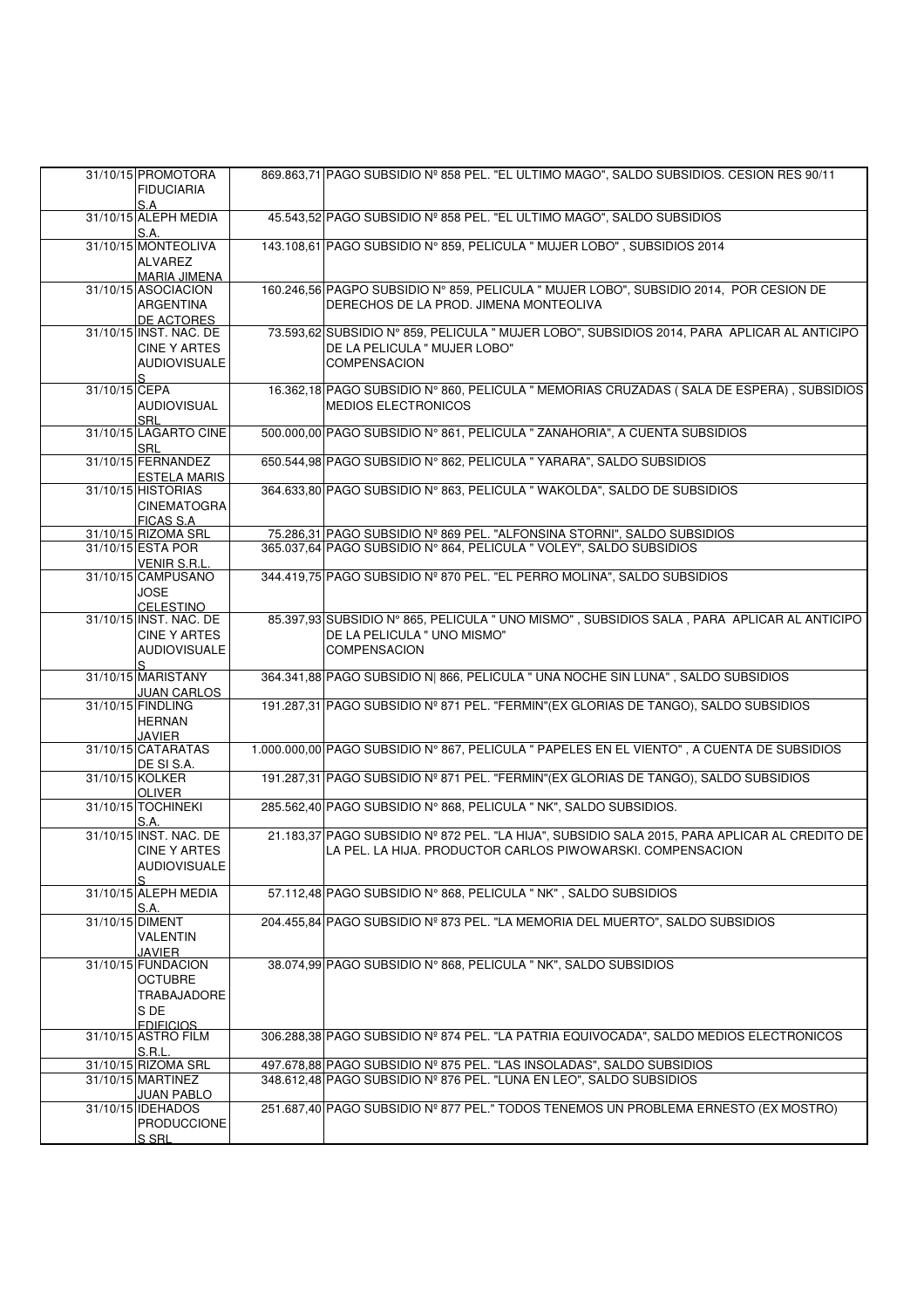|               | 31/10/15 PROMOTORA<br><b>FIDUCIARIA</b>                                                   | 869.863,71 PAGO SUBSIDIO Nº 858 PEL. "EL ULTIMO MAGO", SALDO SUBSIDIOS. CESION RES 90/11                                                                    |
|---------------|-------------------------------------------------------------------------------------------|-------------------------------------------------------------------------------------------------------------------------------------------------------------|
|               | S.A<br>31/10/15 ALEPH MEDIA                                                               | 45.543,52 PAGO SUBSIDIO Nº 858 PEL. "EL ULTIMO MAGO", SALDO SUBSIDIOS                                                                                       |
|               | S.A.<br>31/10/15 MONTEOLIVA                                                               | 143.108,61 PAGO SUBSIDIO Nº 859, PELICULA " MUJER LOBO", SUBSIDIOS 2014                                                                                     |
|               | ALVAREZ<br><b>MARIA JIMENA</b><br>31/10/15 ASOCIACION<br><b>ARGENTINA</b><br>DE ACTORES   | 160.246,56 PAGPO SUBSIDIO Nº 859, PELICULA " MUJER LOBO", SUBSIDIO 2014, POR CESION DE<br>DERECHOS DE LA PROD. JIMENA MONTEOLIVA                            |
|               | 31/10/15 INST, NAC, DE<br><b>CINE Y ARTES</b><br><b>AUDIOVISUALE</b>                      | 73.593,62 SUBSIDIO Nº 859, PELICULA " MUJER LOBO", SUBSIDIOS 2014, PARA APLICAR AL ANTICIPO<br>DE LA PELICULA " MUJER LOBO"<br><b>COMPENSACION</b>          |
| 31/10/15 CEPA | <b>AUDIOVISUAL</b><br><b>SRL</b>                                                          | 16.362,18 PAGO SUBSIDIO Nº 860, PELICULA " MEMORIAS CRUZADAS (SALA DE ESPERA), SUBSIDIOS<br>MEDIOS ELECTRONICOS                                             |
|               | 31/10/15 LAGARTO CINE<br><b>SRL</b>                                                       | 500.000,00 PAGO SUBSIDIO Nº 861, PELICULA " ZANAHORIA", A CUENTA SUBSIDIOS                                                                                  |
|               | 31/10/15 FERNANDEZ<br><b>ESTELA MARIS</b>                                                 | 650.544,98 PAGO SUBSIDIO Nº 862, PELICULA " YARARA", SALDO SUBSIDIOS                                                                                        |
|               | 31/10/15 HISTORIAS<br><b>CINEMATOGRA</b><br><b>FICAS S.A.</b>                             | 364.633,80 PAGO SUBSIDIO Nº 863, PELICULA "WAKOLDA", SALDO DE SUBSIDIOS                                                                                     |
|               | 31/10/15 RIZOMA SRL                                                                       | 75.286,31 PAGO SUBSIDIO Nº 869 PEL. "ALFONSINA STORNI", SALDO SUBSIDIOS                                                                                     |
|               | 31/10/15 ESTA POR<br>VENIR S.R.L.                                                         | 365.037,64 PAGO SUBSIDIO Nº 864, PELICULA " VOLEY", SALDO SUBSIDIOS                                                                                         |
|               | 31/10/15 CAMPUSANO<br>JOSE<br><b>CELESTINO</b>                                            | 344.419,75 PAGO SUBSIDIO Nº 870 PEL. "EL PERRO MOLINA", SALDO SUBSIDIOS                                                                                     |
|               | 31/10/15 INST. NAC. DE<br><b>CINE Y ARTES</b><br><b>AUDIOVISUALE</b><br>S.                | 85.397,93 SUBSIDIO Nº 865, PELICULA " UNO MISMO", SUBSIDIOS SALA, PARA APLICAR AL ANTICIPO<br>DE LA PELICULA " UNO MISMO"<br><b>COMPENSACION</b>            |
|               | 31/10/15 MARISTANY<br>JUAN CARLOS                                                         | 364.341,88 PAGO SUBSIDIO N  866, PELICULA " UNA NOCHE SIN LUNA", SALDO SUBSIDIOS                                                                            |
|               | 31/10/15 FINDLING<br><b>HERNAN</b><br>JAVIER                                              | 191.287,31 PAGO SUBSIDIO Nº 871 PEL. "FERMIN" (EX GLORIAS DE TANGO), SALDO SUBSIDIOS                                                                        |
|               | 31/10/15 CATARATAS<br>DE SI S.A.                                                          | 1.000.000,00 PAGO SUBSIDIO N° 867, PELICULA " PAPELES EN EL VIENTO", A CUENTA DE SUBSIDIOS                                                                  |
|               | 31/10/15 KOLKER<br><b>OLIVER</b>                                                          | 191.287,31 PAGO SUBSIDIO Nº 871 PEL. "FERMIN"(EX GLORIAS DE TANGO), SALDO SUBSIDIOS                                                                         |
|               | 31/10/15 TOCHINEKI<br>S.A.                                                                | 285.562,40 PAGO SUBSIDIO Nº 868, PELICULA " NK", SALDO SUBSIDIOS.                                                                                           |
|               | 31/10/15 INST, NAC, DE<br><b>CINE Y ARTES</b><br><b>AUDIOVISUALE</b><br>S                 | 21.183,37 PAGO SUBSIDIO Nº 872 PEL. "LA HIJA", SUBSIDIO SALA 2015, PARA APLICAR AL CREDITO DE<br>LA PEL. LA HIJA. PRODUCTOR CARLOS PIWOWARSKI. COMPENSACION |
|               | 31/10/15 ALEPH MEDIA<br>S.A.                                                              | 57.112,48 PAGO SUBSIDIO Nº 868, PELICULA " NK", SALDO SUBSIDIOS                                                                                             |
|               | 31/10/15 DIMENT<br><b>VALENTIN</b>                                                        | 204.455,84 PAGO SUBSIDIO Nº 873 PEL. "LA MEMORIA DEL MUERTO", SALDO SUBSIDIOS                                                                               |
|               | JAVIER<br>31/10/15 FUNDACION<br><b>OCTUBRE</b><br>TRABAJADORE<br>S DE<br><b>FDIFICIOS</b> | 38.074,99 PAGO SUBSIDIO N° 868, PELICULA " NK", SALDO SUBSIDIOS                                                                                             |
|               | 31/10/15 ASTRO FILM<br>S.R.L.                                                             | 306.288,38 PAGO SUBSIDIO Nº 874 PEL. "LA PATRIA EQUIVOCADA", SALDO MEDIOS ELECTRONICOS                                                                      |
|               | 31/10/15 RIZOMA SRL                                                                       | 497.678,88 PAGO SUBSIDIO Nº 875 PEL. "LAS INSOLADAS", SALDO SUBSIDIOS                                                                                       |
|               | 31/10/15 MARTINEZ<br>JUAN PABLO                                                           | 348.612,48 PAGO SUBSIDIO Nº 876 PEL. "LUNA EN LEO", SALDO SUBSIDIOS                                                                                         |
|               | 31/10/15 IDEHADOS<br><b>PRODUCCIONE</b><br>S SRL                                          | 251.687,40 PAGO SUBSIDIO Nº 877 PEL." TODOS TENEMOS UN PROBLEMA ERNESTO (EX MOSTRO)                                                                         |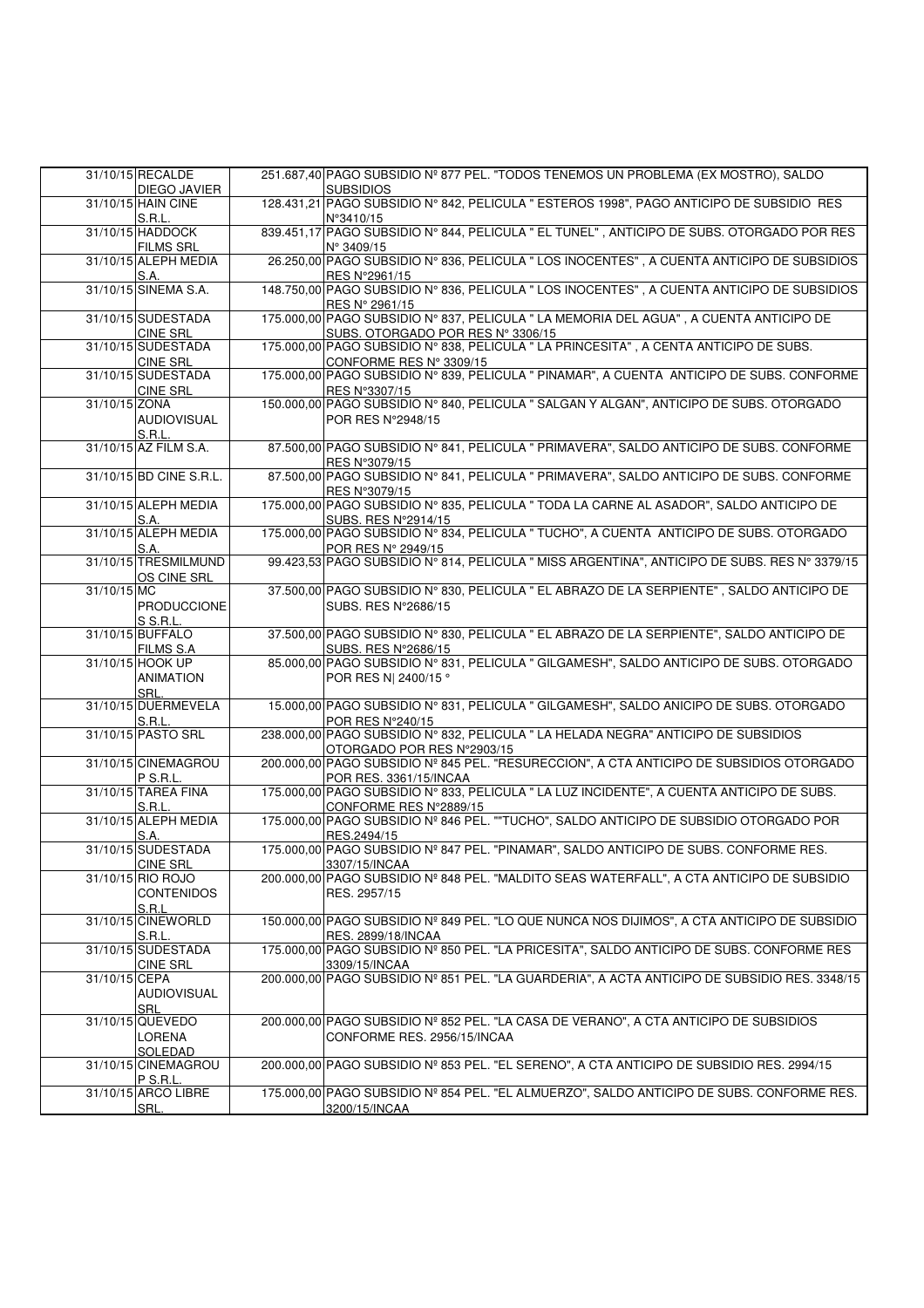|             | 31/10/15 RECALDE        | 251.687,40 PAGO SUBSIDIO Nº 877 PEL. "TODOS TENEMOS UN PROBLEMA (EX MOSTRO), SALDO            |
|-------------|-------------------------|-----------------------------------------------------------------------------------------------|
|             | DIEGO JAVIER            | <b>SUBSIDIOS</b>                                                                              |
|             | 31/10/15 HAIN CINE      | 128.431,21 PAGO SUBSIDIO Nº 842, PELICULA " ESTEROS 1998", PAGO ANTICIPO DE SUBSIDIO RES      |
|             | S.R.L.                  | N°3410/15                                                                                     |
|             | 31/10/15 HADDOCK        | 839.451,17 PAGO SUBSIDIO N° 844, PELICULA " EL TUNEL", ANTICIPO DE SUBS. OTORGADO POR RES     |
|             |                         |                                                                                               |
|             | <b>FILMS SRL</b>        | N° 3409/15                                                                                    |
|             | 31/10/15 ALEPH MEDIA    | 26.250,00 PAGO SUBSIDIO Nº 836, PELICULA " LOS INOCENTES", A CUENTA ANTICIPO DE SUBSIDIOS     |
|             | S.A.                    | RES N°2961/15                                                                                 |
|             | 31/10/15 SINEMA S.A.    | 148.750,00 PAGO SUBSIDIO N° 836, PELICULA " LOS INOCENTES", A CUENTA ANTICIPO DE SUBSIDIOS    |
|             |                         |                                                                                               |
|             |                         | RES N° 2961/15                                                                                |
|             | 31/10/15 SUDESTADA      | 175.000,00 PAGO SUBSIDIO Nº 837, PELICULA " LA MEMORIA DEL AGUA", A CUENTA ANTICIPO DE        |
|             | <b>CINE SRL</b>         | SUBS. OTORGADO POR RES Nº 3306/15                                                             |
|             | 31/10/15 SUDESTADA      | 175.000,00 PAGO SUBSIDIO N° 838, PELICULA " LA PRINCESITA", A CENTA ANTICIPO DE SUBS.         |
|             |                         |                                                                                               |
|             | <b>CINE SRL</b>         | CONFORME RES N° 3309/15                                                                       |
|             | 31/10/15 SUDESTADA      | 175.000,00 PAGO SUBSIDIO Nº 839, PELICULA " PINAMAR", A CUENTA ANTICIPO DE SUBS. CONFORME     |
|             | <b>CINE SRL</b>         | RES N°3307/15                                                                                 |
|             |                         | 150.000,00 PAGO SUBSIDIO Nº 840, PELICULA " SALGAN Y ALGAN", ANTICIPO DE SUBS. OTORGADO       |
|             | 31/10/15 ZONA           |                                                                                               |
|             | <b>AUDIOVISUAL</b>      | POR RES N°2948/15                                                                             |
|             | S.R.L.                  |                                                                                               |
|             | 31/10/15 AZ FILM S.A.   | 87.500,00 PAGO SUBSIDIO Nº 841, PELICULA " PRIMAVERA", SALDO ANTICIPO DE SUBS. CONFORME       |
|             |                         |                                                                                               |
|             |                         | RES N°3079/15                                                                                 |
|             | 31/10/15 BD CINE S.R.L. | 87.500,00 PAGO SUBSIDIO Nº 841, PELICULA " PRIMAVERA", SALDO ANTICIPO DE SUBS. CONFORME       |
|             |                         | RES N°3079/15                                                                                 |
|             | 31/10/15 ALEPH MEDIA    | 175.000,00 PAGO SUBSIDIO Nº 835, PELICULA " TODA LA CARNE AL ASADOR", SALDO ANTICIPO DE       |
|             |                         |                                                                                               |
|             | S.A.                    | SUBS. RES N°2914/15                                                                           |
|             | 31/10/15 ALEPH MEDIA    | 175.000,00 PAGO SUBSIDIO Nº 834, PELICULA " TUCHO", A CUENTA ANTICIPO DE SUBS. OTORGADO       |
|             | S.A.                    | POR RES N° 2949/15                                                                            |
|             | 31/10/15 TRESMILMUND    | 99.423,53 PAGO SUBSIDIO N° 814, PELICULA " MISS ARGENTINA", ANTICIPO DE SUBS. RES N° 3379/15  |
|             |                         |                                                                                               |
|             | OS CINE SRL             |                                                                                               |
| 31/10/15 MC |                         | 37.500,00 PAGO SUBSIDIO Nº 830, PELICULA " EL ABRAZO DE LA SERPIENTE", SALDO ANTICIPO DE      |
|             | PRODUCCIONE             | SUBS. RES N°2686/15                                                                           |
|             |                         |                                                                                               |
|             | S S.R.L.                |                                                                                               |
|             | 31/10/15 BUFFALO        | 37.500,00 PAGO SUBSIDIO Nº 830, PELICULA " EL ABRAZO DE LA SERPIENTE", SALDO ANTICIPO DE      |
|             | <b>FILMS S.A</b>        | SUBS, RES N°2686/15                                                                           |
|             | 31/10/15 HOOK UP        | 85.000,00 PAGO SUBSIDIO Nº 831, PELICULA " GILGAMESH", SALDO ANTICIPO DE SUBS. OTORGADO       |
|             |                         |                                                                                               |
|             | <b>ANIMATION</b>        | POR RES N  2400/15 °                                                                          |
|             | SRL.                    |                                                                                               |
|             | 31/10/15 DUERMEVELA     | 15.000,00 PAGO SUBSIDIO Nº 831, PELICULA " GILGAMESH", SALDO ANICIPO DE SUBS. OTORGADO        |
|             | S.R.L.                  | POR RES N°240/15                                                                              |
|             |                         |                                                                                               |
|             | 31/10/15 PASTO SRL      | 238.000,00 PAGO SUBSIDIO N° 832, PELICULA " LA HELADA NEGRA" ANTICIPO DE SUBSIDIOS            |
|             |                         | OTORGADO POR RES N°2903/15                                                                    |
|             | 31/10/15 CINEMAGROU     | 200.000,00 PAGO SUBSIDIO Nº 845 PEL. "RESURECCION", A CTA ANTICIPO DE SUBSIDIOS OTORGADO      |
|             | P S.R.L.                | POR RES. 3361/15/INCAA                                                                        |
|             |                         |                                                                                               |
|             | 31/10/15 TAREA FINA     | 175.000,00 PAGO SUBSIDIO Nº 833, PELICULA " LA LUZ INCIDENTE", A CUENTA ANTICIPO DE SUBS.     |
|             | S.R.L.                  | CONFORME RES N°2889/15                                                                        |
|             | 31/10/15 ALEPH MEDIA    | 175.000,00 PAGO SUBSIDIO Nº 846 PEL. ""TUCHO", SALDO ANTICIPO DE SUBSIDIO OTORGADO POR        |
|             | S.A.                    | RES.2494/15                                                                                   |
|             |                         |                                                                                               |
|             | 31/10/15 SUDESTADA      | 175.000,00 PAGO SUBSIDIO Nº 847 PEL. "PINAMAR", SALDO ANTICIPO DE SUBS. CONFORME RES.         |
|             | <b>CINE SRL</b>         | 3307/15/INCAA                                                                                 |
|             | 31/10/15 RIO ROJO       | 200.000,00 PAGO SUBSIDIO Nº 848 PEL. "MALDITO SEAS WATERFALL", A CTA ANTICIPO DE SUBSIDIO     |
|             | <b>CONTENIDOS</b>       | RES. 2957/15                                                                                  |
|             |                         |                                                                                               |
|             | S.R.L                   |                                                                                               |
|             | 31/10/15 CINEWORLD      | 150.000,00 PAGO SUBSIDIO Nº 849 PEL. "LO QUE NUNCA NOS DIJIMOS", A CTA ANTICIPO DE SUBSIDIO   |
|             | S.R.L.                  | RES. 2899/18/INCAA                                                                            |
|             | 31/10/15 SUDESTADA      | 175.000,00 PAGO SUBSIDIO Nº 850 PEL. "LA PRICESITA", SALDO ANTICIPO DE SUBS. CONFORME RES     |
|             |                         |                                                                                               |
|             | <b>CINE SRL</b>         | 3309/15/INCAA                                                                                 |
|             | 31/10/15 CEPA           | 200.000,00 PAGO SUBSIDIO Nº 851 PEL. "LA GUARDERIA", A ACTA ANTICIPO DE SUBSIDIO RES. 3348/15 |
|             | <b>AUDIOVISUAL</b>      |                                                                                               |
|             | SRL                     |                                                                                               |
|             |                         |                                                                                               |
|             | 31/10/15 QUEVEDO        | 200.000.00 PAGO SUBSIDIO Nº 852 PEL. "LA CASA DE VERANO", A CTA ANTICIPO DE SUBSIDIOS         |
|             | LORENA                  | CONFORME RES. 2956/15/INCAA                                                                   |
|             | SOLEDAD                 |                                                                                               |
|             | 31/10/15 CINEMAGROU     | 200.000,00 PAGO SUBSIDIO Nº 853 PEL. "EL SERENO", A CTA ANTICIPO DE SUBSIDIO RES. 2994/15     |
|             |                         |                                                                                               |
|             | P S.R.L.                |                                                                                               |
|             |                         |                                                                                               |
|             | 31/10/15 ARCO LIBRE     | 175.000,00 PAGO SUBSIDIO Nº 854 PEL. "EL ALMUERZO", SALDO ANTICIPO DE SUBS. CONFORME RES.     |